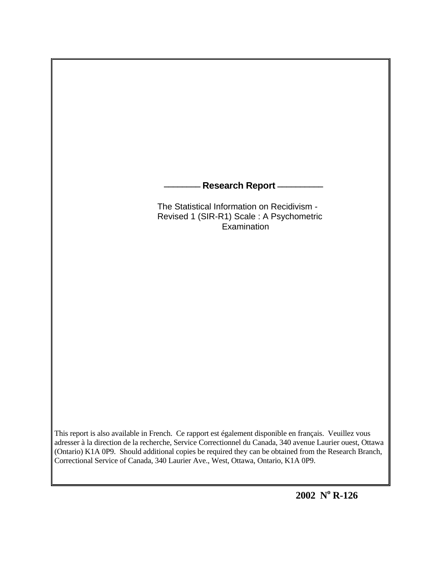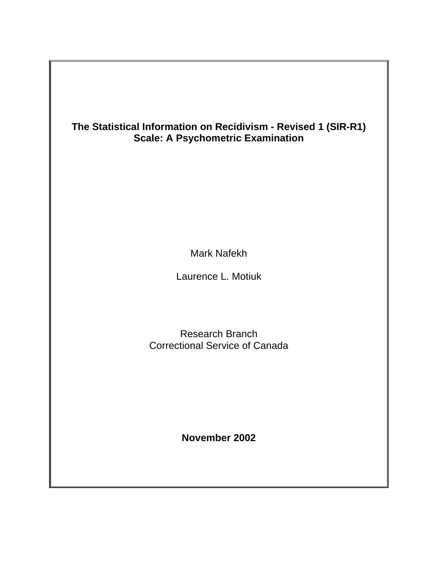## **The Statistical Information on Recidivism - Revised 1 (SIR-R1) Scale: A Psychometric Examination**

Mark Nafekh

Laurence L. Motiuk

Research Branch Correctional Service of Canada

**November 2002**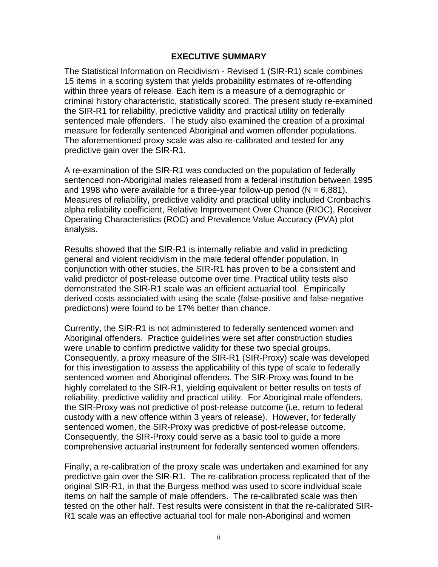#### **EXECUTIVE SUMMARY**

The Statistical Information on Recidivism - Revised 1 (SIR-R1) scale combines 15 items in a scoring system that yields probability estimates of re-offending within three years of release. Each item is a measure of a demographic or criminal history characteristic, statistically scored. The present study re-examined the SIR-R1 for reliability, predictive validity and practical utility on federally sentenced male offenders. The study also examined the creation of a proximal measure for federally sentenced Aboriginal and women offender populations. The aforementioned proxy scale was also re-calibrated and tested for any predictive gain over the SIR-R1.

A re-examination of the SIR-R1 was conducted on the population of federally sentenced non-Aboriginal males released from a federal institution between 1995 and 1998 who were available for a three-year follow-up period ( $N = 6.881$ ). Measures of reliability, predictive validity and practical utility included Cronbach's alpha reliability coefficient, Relative Improvement Over Chance (RIOC), Receiver Operating Characteristics (ROC) and Prevalence Value Accuracy (PVA) plot analysis.

Results showed that the SIR-R1 is internally reliable and valid in predicting general and violent recidivism in the male federal offender population. In conjunction with other studies, the SIR-R1 has proven to be a consistent and valid predictor of post-release outcome over time. Practical utility tests also demonstrated the SIR-R1 scale was an efficient actuarial tool. Empirically derived costs associated with using the scale (false-positive and false-negative predictions) were found to be 17% better than chance.

Currently, the SIR-R1 is not administered to federally sentenced women and Aboriginal offenders. Practice guidelines were set after construction studies were unable to confirm predictive validity for these two special groups. Consequently, a proxy measure of the SIR-R1 (SIR-Proxy) scale was developed for this investigation to assess the applicability of this type of scale to federally sentenced women and Aboriginal offenders. The SIR-Proxy was found to be highly correlated to the SIR-R1, yielding equivalent or better results on tests of reliability, predictive validity and practical utility. For Aboriginal male offenders, the SIR-Proxy was not predictive of post-release outcome (i.e. return to federal custody with a new offence within 3 years of release). However, for federally sentenced women, the SIR-Proxy was predictive of post-release outcome. Consequently, the SIR-Proxy could serve as a basic tool to guide a more comprehensive actuarial instrument for federally sentenced women offenders.

Finally, a re-calibration of the proxy scale was undertaken and examined for any predictive gain over the SIR-R1. The re-calibration process replicated that of the original SIR-R1, in that the Burgess method was used to score individual scale items on half the sample of male offenders. The re-calibrated scale was then tested on the other half. Test results were consistent in that the re-calibrated SIR-R1 scale was an effective actuarial tool for male non-Aboriginal and women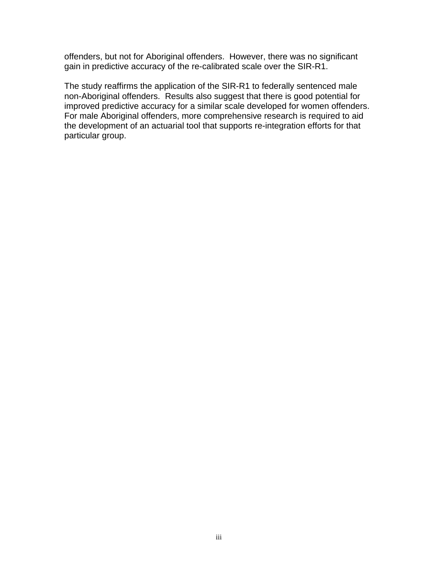offenders, but not for Aboriginal offenders. However, there was no significant gain in predictive accuracy of the re-calibrated scale over the SIR-R1.

The study reaffirms the application of the SIR-R1 to federally sentenced male non-Aboriginal offenders. Results also suggest that there is good potential for improved predictive accuracy for a similar scale developed for women offenders. For male Aboriginal offenders, more comprehensive research is required to aid the development of an actuarial tool that supports re-integration efforts for that particular group.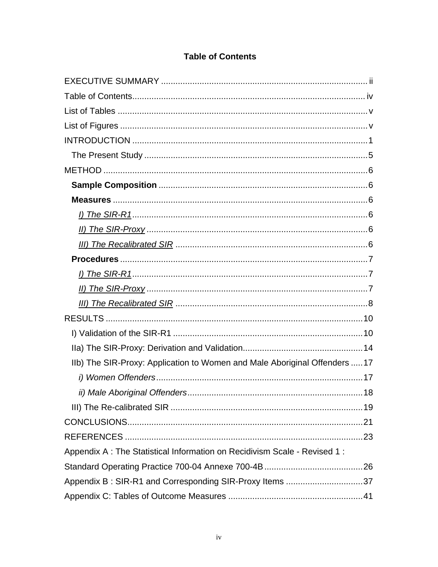### **Table of Contents**

| IIb) The SIR-Proxy: Application to Women and Male Aboriginal Offenders  17 |
|----------------------------------------------------------------------------|
|                                                                            |
|                                                                            |
|                                                                            |
|                                                                            |
|                                                                            |
| Appendix A : The Statistical Information on Recidivism Scale - Revised 1 : |
|                                                                            |
| Appendix B: SIR-R1 and Corresponding SIR-Proxy Items 37                    |
|                                                                            |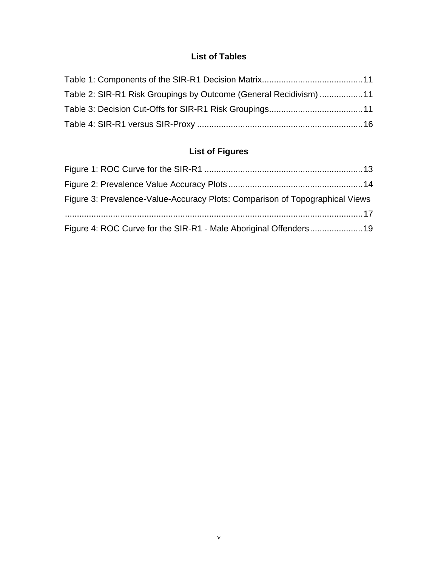## **List of Tables**

| Table 2: SIR-R1 Risk Groupings by Outcome (General Recidivism) 11 |  |
|-------------------------------------------------------------------|--|
|                                                                   |  |
|                                                                   |  |

# **List of Figures**

| Figure 3: Prevalence-Value-Accuracy Plots: Comparison of Topographical Views |  |
|------------------------------------------------------------------------------|--|
|                                                                              |  |
| Figure 4: ROC Curve for the SIR-R1 - Male Aboriginal Offenders19             |  |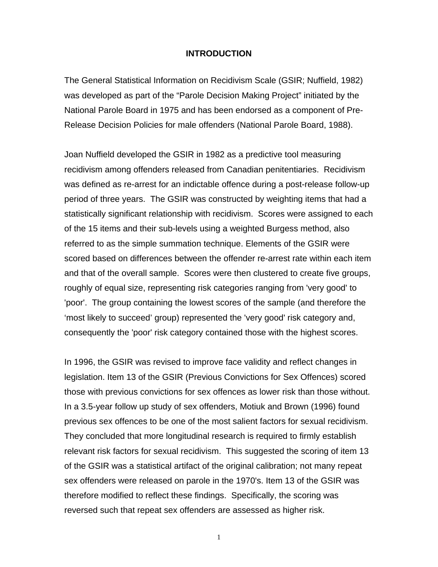#### **INTRODUCTION**

The General Statistical Information on Recidivism Scale (GSIR; Nuffield, 1982) was developed as part of the "Parole Decision Making Project" initiated by the National Parole Board in 1975 and has been endorsed as a component of Pre-Release Decision Policies for male offenders (National Parole Board, 1988).

Joan Nuffield developed the GSIR in 1982 as a predictive tool measuring recidivism among offenders released from Canadian penitentiaries. Recidivism was defined as re-arrest for an indictable offence during a post-release follow-up period of three years. The GSIR was constructed by weighting items that had a statistically significant relationship with recidivism. Scores were assigned to each of the 15 items and their sub-levels using a weighted Burgess method, also referred to as the simple summation technique. Elements of the GSIR were scored based on differences between the offender re-arrest rate within each item and that of the overall sample. Scores were then clustered to create five groups, roughly of equal size, representing risk categories ranging from 'very good' to 'poor'. The group containing the lowest scores of the sample (and therefore the 'most likely to succeed' group) represented the 'very good' risk category and, consequently the 'poor' risk category contained those with the highest scores.

In 1996, the GSIR was revised to improve face validity and reflect changes in legislation. Item 13 of the GSIR (Previous Convictions for Sex Offences) scored those with previous convictions for sex offences as lower risk than those without. In a 3.5-year follow up study of sex offenders, Motiuk and Brown (1996) found previous sex offences to be one of the most salient factors for sexual recidivism. They concluded that more longitudinal research is required to firmly establish relevant risk factors for sexual recidivism. This suggested the scoring of item 13 of the GSIR was a statistical artifact of the original calibration; not many repeat sex offenders were released on parole in the 1970's. Item 13 of the GSIR was therefore modified to reflect these findings. Specifically, the scoring was reversed such that repeat sex offenders are assessed as higher risk.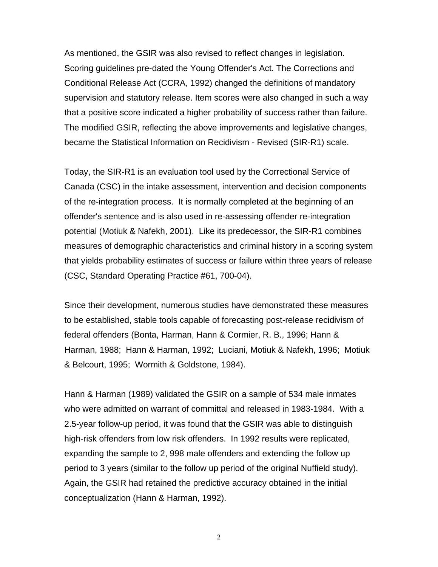As mentioned, the GSIR was also revised to reflect changes in legislation. Scoring guidelines pre-dated the Young Offender's Act. The Corrections and Conditional Release Act (CCRA, 1992) changed the definitions of mandatory supervision and statutory release. Item scores were also changed in such a way that a positive score indicated a higher probability of success rather than failure. The modified GSIR, reflecting the above improvements and legislative changes, became the Statistical Information on Recidivism - Revised (SIR-R1) scale.

Today, the SIR-R1 is an evaluation tool used by the Correctional Service of Canada (CSC) in the intake assessment, intervention and decision components of the re-integration process. It is normally completed at the beginning of an offender's sentence and is also used in re-assessing offender re-integration potential (Motiuk & Nafekh, 2001). Like its predecessor, the SIR-R1 combines measures of demographic characteristics and criminal history in a scoring system that yields probability estimates of success or failure within three years of release (CSC, Standard Operating Practice #61, 700-04).

Since their development, numerous studies have demonstrated these measures to be established, stable tools capable of forecasting post-release recidivism of federal offenders (Bonta, Harman, Hann & Cormier, R. B., 1996; Hann & Harman, 1988; Hann & Harman, 1992; Luciani, Motiuk & Nafekh, 1996; Motiuk & Belcourt, 1995; Wormith & Goldstone, 1984).

Hann & Harman (1989) validated the GSIR on a sample of 534 male inmates who were admitted on warrant of committal and released in 1983-1984. With a 2.5-year follow-up period, it was found that the GSIR was able to distinguish high-risk offenders from low risk offenders. In 1992 results were replicated, expanding the sample to 2, 998 male offenders and extending the follow up period to 3 years (similar to the follow up period of the original Nuffield study). Again, the GSIR had retained the predictive accuracy obtained in the initial conceptualization (Hann & Harman, 1992).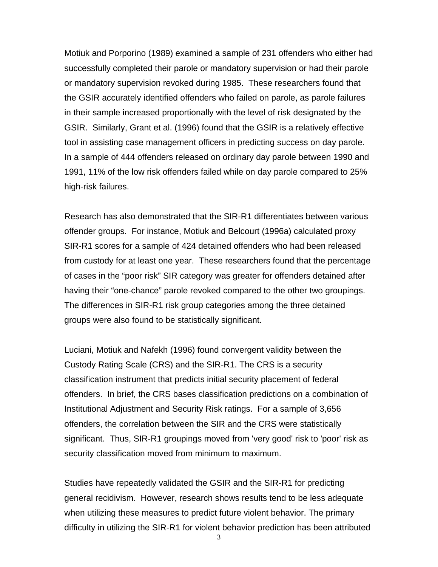Motiuk and Porporino (1989) examined a sample of 231 offenders who either had successfully completed their parole or mandatory supervision or had their parole or mandatory supervision revoked during 1985. These researchers found that the GSIR accurately identified offenders who failed on parole, as parole failures in their sample increased proportionally with the level of risk designated by the GSIR. Similarly, Grant et al. (1996) found that the GSIR is a relatively effective tool in assisting case management officers in predicting success on day parole. In a sample of 444 offenders released on ordinary day parole between 1990 and 1991, 11% of the low risk offenders failed while on day parole compared to 25% high-risk failures.

Research has also demonstrated that the SIR-R1 differentiates between various offender groups. For instance, Motiuk and Belcourt (1996a) calculated proxy SIR-R1 scores for a sample of 424 detained offenders who had been released from custody for at least one year. These researchers found that the percentage of cases in the "poor risk" SIR category was greater for offenders detained after having their "one-chance" parole revoked compared to the other two groupings. The differences in SIR-R1 risk group categories among the three detained groups were also found to be statistically significant.

Luciani, Motiuk and Nafekh (1996) found convergent validity between the Custody Rating Scale (CRS) and the SIR-R1. The CRS is a security classification instrument that predicts initial security placement of federal offenders. In brief, the CRS bases classification predictions on a combination of Institutional Adjustment and Security Risk ratings. For a sample of 3,656 offenders, the correlation between the SIR and the CRS were statistically significant. Thus, SIR-R1 groupings moved from 'very good' risk to 'poor' risk as security classification moved from minimum to maximum.

Studies have repeatedly validated the GSIR and the SIR-R1 for predicting general recidivism. However, research shows results tend to be less adequate when utilizing these measures to predict future violent behavior. The primary difficulty in utilizing the SIR-R1 for violent behavior prediction has been attributed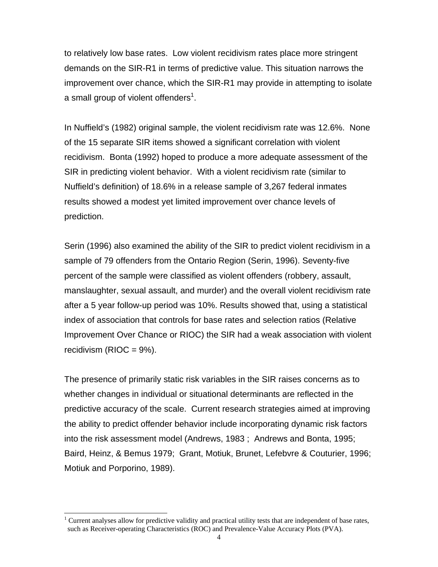to relatively low base rates. Low violent recidivism rates place more stringent demands on the SIR-R1 in terms of predictive value. This situation narrows the improvement over chance, which the SIR-R1 may provide in attempting to isolate a small group of violent offenders<sup>[1](#page-9-0)</sup>.

In Nuffield's (1982) original sample, the violent recidivism rate was 12.6%. None of the 15 separate SIR items showed a significant correlation with violent recidivism. Bonta (1992) hoped to produce a more adequate assessment of the SIR in predicting violent behavior. With a violent recidivism rate (similar to Nuffield's definition) of 18.6% in a release sample of 3,267 federal inmates results showed a modest yet limited improvement over chance levels of prediction.

Serin (1996) also examined the ability of the SIR to predict violent recidivism in a sample of 79 offenders from the Ontario Region (Serin, 1996). Seventy-five percent of the sample were classified as violent offenders (robbery, assault, manslaughter, sexual assault, and murder) and the overall violent recidivism rate after a 5 year follow-up period was 10%. Results showed that, using a statistical index of association that controls for base rates and selection ratios (Relative Improvement Over Chance or RIOC) the SIR had a weak association with violent recidivism ( $RIOC = 9\%$ ).

The presence of primarily static risk variables in the SIR raises concerns as to whether changes in individual or situational determinants are reflected in the predictive accuracy of the scale. Current research strategies aimed at improving the ability to predict offender behavior include incorporating dynamic risk factors into the risk assessment model (Andrews, 1983 ; Andrews and Bonta, 1995; Baird, Heinz, & Bemus 1979; Grant, Motiuk, Brunet, Lefebvre & Couturier, 1996; Motiuk and Porporino, 1989).

l

<span id="page-9-0"></span><sup>1</sup> Current analyses allow for predictive validity and practical utility tests that are independent of base rates, such as Receiver-operating Characteristics (ROC) and Prevalence-Value Accuracy Plots (PVA).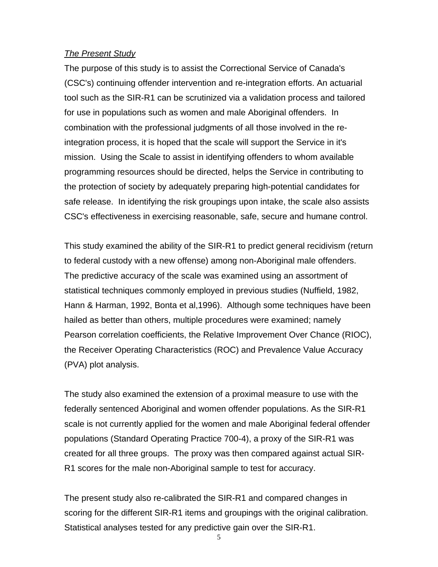#### *The Present Study*

The purpose of this study is to assist the Correctional Service of Canada's (CSC's) continuing offender intervention and re-integration efforts. An actuarial tool such as the SIR-R1 can be scrutinized via a validation process and tailored for use in populations such as women and male Aboriginal offenders. In combination with the professional judgments of all those involved in the reintegration process, it is hoped that the scale will support the Service in it's mission. Using the Scale to assist in identifying offenders to whom available programming resources should be directed, helps the Service in contributing to the protection of society by adequately preparing high-potential candidates for safe release. In identifying the risk groupings upon intake, the scale also assists CSC's effectiveness in exercising reasonable, safe, secure and humane control.

This study examined the ability of the SIR-R1 to predict general recidivism (return to federal custody with a new offense) among non-Aboriginal male offenders. The predictive accuracy of the scale was examined using an assortment of statistical techniques commonly employed in previous studies (Nuffield, 1982, Hann & Harman, 1992, Bonta et al,1996). Although some techniques have been hailed as better than others, multiple procedures were examined; namely Pearson correlation coefficients, the Relative Improvement Over Chance (RIOC), the Receiver Operating Characteristics (ROC) and Prevalence Value Accuracy (PVA) plot analysis.

The study also examined the extension of a proximal measure to use with the federally sentenced Aboriginal and women offender populations. As the SIR-R1 scale is not currently applied for the women and male Aboriginal federal offender populations (Standard Operating Practice 700-4), a proxy of the SIR-R1 was created for all three groups. The proxy was then compared against actual SIR-R1 scores for the male non-Aboriginal sample to test for accuracy.

The present study also re-calibrated the SIR-R1 and compared changes in scoring for the different SIR-R1 items and groupings with the original calibration. Statistical analyses tested for any predictive gain over the SIR-R1.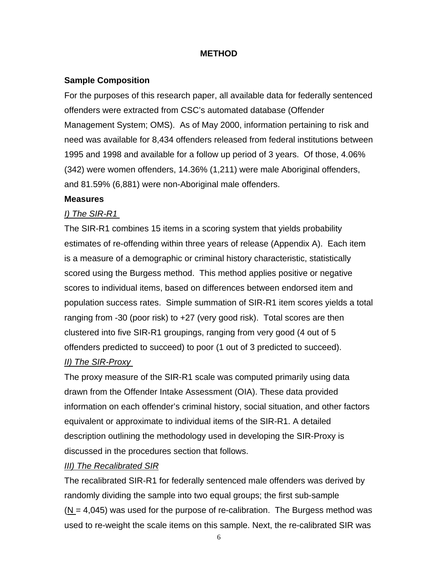### **METHOD**

### **Sample Composition**

For the purposes of this research paper, all available data for federally sentenced offenders were extracted from CSC's automated database (Offender Management System; OMS). As of May 2000, information pertaining to risk and need was available for 8,434 offenders released from federal institutions between 1995 and 1998 and available for a follow up period of 3 years. Of those, 4.06% (342) were women offenders, 14.36% (1,211) were male Aboriginal offenders, and 81.59% (6,881) were non-Aboriginal male offenders.

#### **Measures**

### *I) The SIR-R1*

The SIR-R1 combines 15 items in a scoring system that yields probability estimates of re-offending within three years of release (Appendix A). Each item is a measure of a demographic or criminal history characteristic, statistically scored using the Burgess method. This method applies positive or negative scores to individual items, based on differences between endorsed item and population success rates. Simple summation of SIR-R1 item scores yields a total ranging from -30 (poor risk) to +27 (very good risk). Total scores are then clustered into five SIR-R1 groupings, ranging from very good (4 out of 5 offenders predicted to succeed) to poor (1 out of 3 predicted to succeed).

### *II) The SIR-Proxy*

The proxy measure of the SIR-R1 scale was computed primarily using data drawn from the Offender Intake Assessment (OIA). These data provided information on each offender's criminal history, social situation, and other factors equivalent or approximate to individual items of the SIR-R1. A detailed description outlining the methodology used in developing the SIR-Proxy is discussed in the procedures section that follows.

### *III) The Recalibrated SIR*

The recalibrated SIR-R1 for federally sentenced male offenders was derived by randomly dividing the sample into two equal groups; the first sub-sample  $(N = 4,045)$  was used for the purpose of re-calibration. The Burgess method was used to re-weight the scale items on this sample. Next, the re-calibrated SIR was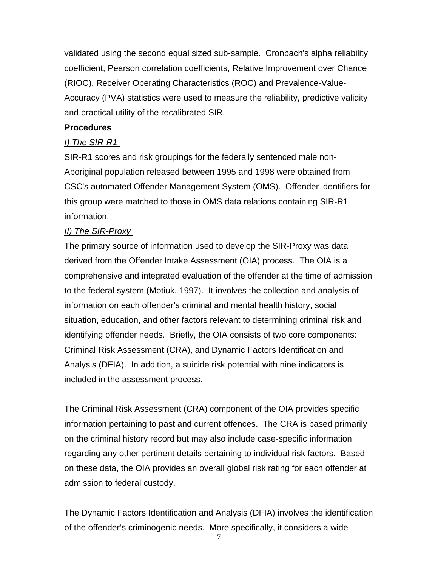validated using the second equal sized sub-sample. Cronbach's alpha reliability coefficient, Pearson correlation coefficients, Relative Improvement over Chance (RIOC), Receiver Operating Characteristics (ROC) and Prevalence-Value-Accuracy (PVA) statistics were used to measure the reliability, predictive validity and practical utility of the recalibrated SIR.

### **Procedures**

### *I) The SIR-R1*

SIR-R1 scores and risk groupings for the federally sentenced male non-Aboriginal population released between 1995 and 1998 were obtained from CSC's automated Offender Management System (OMS). Offender identifiers for this group were matched to those in OMS data relations containing SIR-R1 information.

### *II) The SIR-Proxy*

The primary source of information used to develop the SIR-Proxy was data derived from the Offender Intake Assessment (OIA) process. The OIA is a comprehensive and integrated evaluation of the offender at the time of admission to the federal system (Motiuk, 1997). It involves the collection and analysis of information on each offender's criminal and mental health history, social situation, education, and other factors relevant to determining criminal risk and identifying offender needs. Briefly, the OIA consists of two core components: Criminal Risk Assessment (CRA), and Dynamic Factors Identification and Analysis (DFIA). In addition, a suicide risk potential with nine indicators is included in the assessment process.

The Criminal Risk Assessment (CRA) component of the OIA provides specific information pertaining to past and current offences. The CRA is based primarily on the criminal history record but may also include case-specific information regarding any other pertinent details pertaining to individual risk factors. Based on these data, the OIA provides an overall global risk rating for each offender at admission to federal custody.

The Dynamic Factors Identification and Analysis (DFIA) involves the identification of the offender's criminogenic needs. More specifically, it considers a wide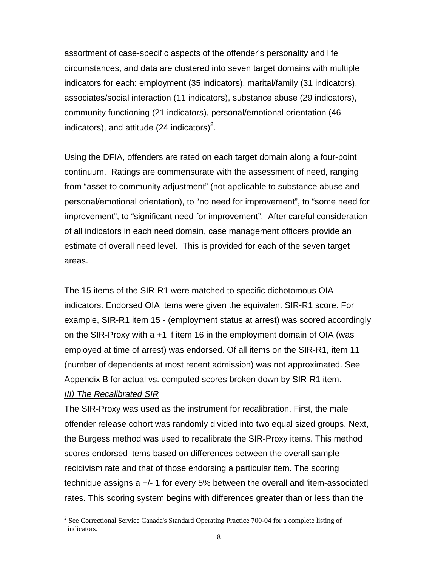assortment of case-specific aspects of the offender's personality and life circumstances, and data are clustered into seven target domains with multiple indicators for each: employment (35 indicators), marital/family (31 indicators), associates/social interaction (11 indicators), substance abuse (29 indicators), community functioning (21 indicators), personal/emotional orientation (46 indicators), and attitude ([2](#page-13-0)4 indicators)<sup>2</sup>.

Using the DFIA, offenders are rated on each target domain along a four-point continuum. Ratings are commensurate with the assessment of need, ranging from "asset to community adjustment" (not applicable to substance abuse and personal/emotional orientation), to "no need for improvement", to "some need for improvement", to "significant need for improvement". After careful consideration of all indicators in each need domain, case management officers provide an estimate of overall need level. This is provided for each of the seven target areas.

The 15 items of the SIR-R1 were matched to specific dichotomous OIA indicators. Endorsed OIA items were given the equivalent SIR-R1 score. For example, SIR-R1 item 15 - (employment status at arrest) was scored accordingly on the SIR-Proxy with a +1 if item 16 in the employment domain of OIA (was employed at time of arrest) was endorsed. Of all items on the SIR-R1, item 11 (number of dependents at most recent admission) was not approximated. See Appendix B for actual vs. computed scores broken down by SIR-R1 item.

#### *III) The Recalibrated SIR*

l

The SIR-Proxy was used as the instrument for recalibration. First, the male offender release cohort was randomly divided into two equal sized groups. Next, the Burgess method was used to recalibrate the SIR-Proxy items. This method scores endorsed items based on differences between the overall sample recidivism rate and that of those endorsing a particular item. The scoring technique assigns a +/- 1 for every 5% between the overall and 'item-associated' rates. This scoring system begins with differences greater than or less than the

<span id="page-13-0"></span> $2^2$  See Correctional Service Canada's Standard Operating Practice 700-04 for a complete listing of indicators.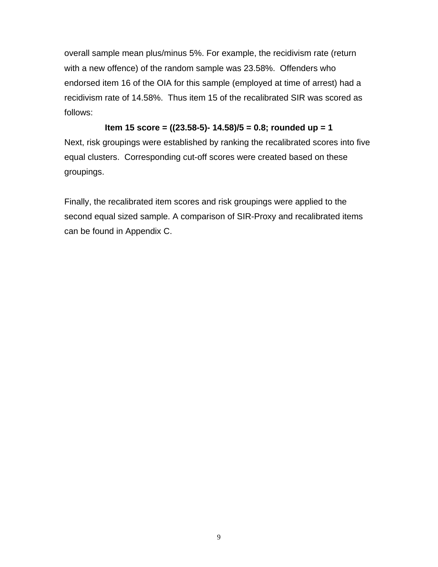overall sample mean plus/minus 5%. For example, the recidivism rate (return with a new offence) of the random sample was 23.58%. Offenders who endorsed item 16 of the OIA for this sample (employed at time of arrest) had a recidivism rate of 14.58%. Thus item 15 of the recalibrated SIR was scored as follows:

**Item 15 score = ((23.58-5)- 14.58)/5 = 0.8; rounded up = 1**

Next, risk groupings were established by ranking the recalibrated scores into five equal clusters. Corresponding cut-off scores were created based on these groupings.

Finally, the recalibrated item scores and risk groupings were applied to the second equal sized sample. A comparison of SIR-Proxy and recalibrated items can be found in Appendix C.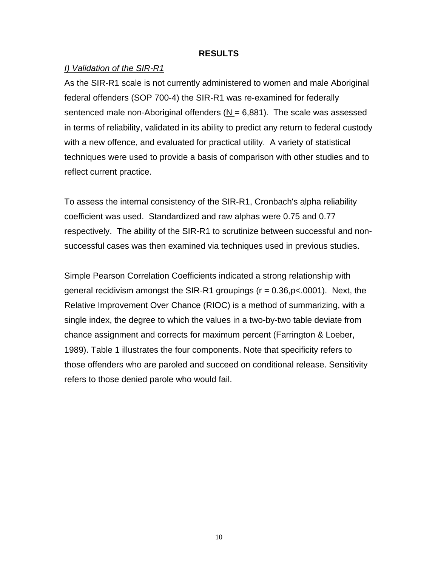#### **RESULTS**

#### *I) Validation of the SIR-R1*

As the SIR-R1 scale is not currently administered to women and male Aboriginal federal offenders (SOP 700-4) the SIR-R1 was re-examined for federally sentenced male non-Aboriginal offenders  $(N = 6,881)$ . The scale was assessed in terms of reliability, validated in its ability to predict any return to federal custody with a new offence, and evaluated for practical utility. A variety of statistical techniques were used to provide a basis of comparison with other studies and to reflect current practice.

To assess the internal consistency of the SIR-R1, Cronbach's alpha reliability coefficient was used. Standardized and raw alphas were 0.75 and 0.77 respectively. The ability of the SIR-R1 to scrutinize between successful and nonsuccessful cases was then examined via techniques used in previous studies.

Simple Pearson Correlation Coefficients indicated a strong relationship with general recidivism amongst the SIR-R1 groupings  $(r = 0.36, p < .0001)$ . Next, the Relative Improvement Over Chance (RIOC) is a method of summarizing, with a single index, the degree to which the values in a two-by-two table deviate from chance assignment and corrects for maximum percent (Farrington & Loeber, 1989). Table 1 illustrates the four components. Note that specificity refers to those offenders who are paroled and succeed on conditional release. Sensitivity refers to those denied parole who would fail.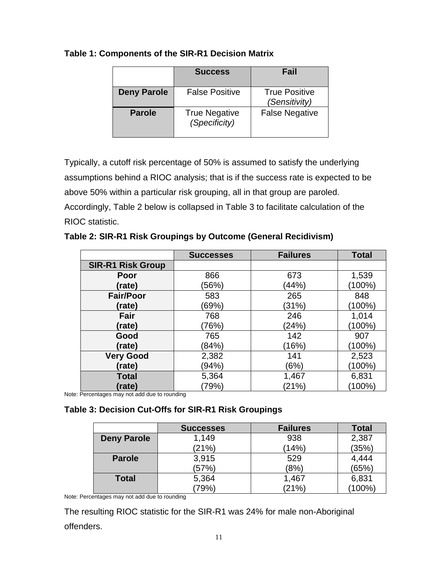### **Table 1: Components of the SIR-R1 Decision Matrix**

|                    | <b>Success</b>                        | Fail                                  |
|--------------------|---------------------------------------|---------------------------------------|
| <b>Deny Parole</b> | <b>False Positive</b>                 | <b>True Positive</b><br>(Sensitivity) |
| <b>Parole</b>      | <b>True Negative</b><br>(Specificity) | <b>False Negative</b>                 |

Typically, a cutoff risk percentage of 50% is assumed to satisfy the underlying assumptions behind a RIOC analysis; that is if the success rate is expected to be above 50% within a particular risk grouping, all in that group are paroled. Accordingly, Table 2 below is collapsed in Table 3 to facilitate calculation of the RIOC statistic.

**Table 2: SIR-R1 Risk Groupings by Outcome (General Recidivism)**

|                          | <b>Successes</b> | <b>Failures</b> | <b>Total</b> |
|--------------------------|------------------|-----------------|--------------|
| <b>SIR-R1 Risk Group</b> |                  |                 |              |
| Poor                     | 866              | 673             | 1,539        |
| (rate)                   | (56%)            | (44%)           | $(100\%)$    |
| <b>Fair/Poor</b>         | 583              | 265             | 848          |
| (rate)                   | (69%)            | (31%)           | (100%)       |
| Fair                     | 768              | 246             | 1,014        |
| (rate)                   | 76%)             | (24%)           | $(100\%)$    |
| Good                     | 765              | 142             | 907          |
| (rate)                   | (84%)            | (16%)           | $(100\%)$    |
| <b>Very Good</b>         | 2,382            | 141             | 2,523        |
| (rate)                   | (94%)            | (6%)            | $(100\%)$    |
| <b>Total</b>             | 5,364            | 1,467           | 6,831        |
| (rate)                   | (79%)            | (21%)           | (100%)       |

Note: Percentages may not add due to rounding

### **Table 3: Decision Cut-Offs for SIR-R1 Risk Groupings**

|                    | <b>Successes</b> | <b>Failures</b> | <b>Total</b> |
|--------------------|------------------|-----------------|--------------|
| <b>Deny Parole</b> | 1.149            | 938             | 2,387        |
|                    | (21%)            | (14%)           | (35%)        |
| <b>Parole</b>      | 3,915            | 529             | 4,444        |
|                    | (57%)            | (8%)            | (65%)        |
| <b>Total</b>       | 5,364            | 1,467           | 6,831        |
|                    | 79%)             | (21%)           | $(100\%)$    |

Note: Percentages may not add due to rounding

The resulting RIOC statistic for the SIR-R1 was 24% for male non-Aboriginal offenders.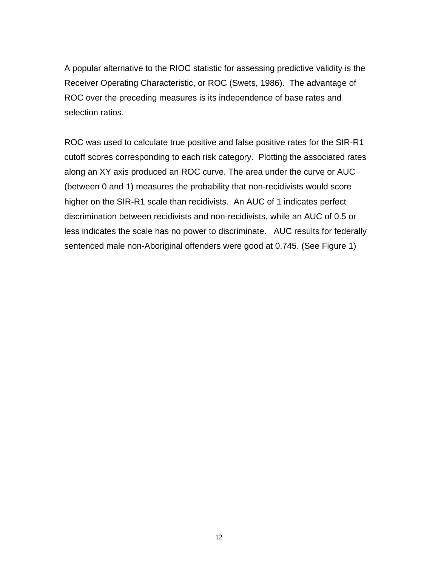A popular alternative to the RIOC statistic for assessing predictive validity is the Receiver Operating Characteristic, or ROC (Swets, 1986). The advantage of ROC over the preceding measures is its independence of base rates and selection ratios.

ROC was used to calculate true positive and false positive rates for the SIR-R1 cutoff scores corresponding to each risk category. Plotting the associated rates along an XY axis produced an ROC curve. The area under the curve or AUC (between 0 and 1) measures the probability that non-recidivists would score higher on the SIR-R1 scale than recidivists. An AUC of 1 indicates perfect discrimination between recidivists and non-recidivists, while an AUC of 0.5 or less indicates the scale has no power to discriminate. AUC results for federally sentenced male non-Aboriginal offenders were good at 0.745. (See Figure 1)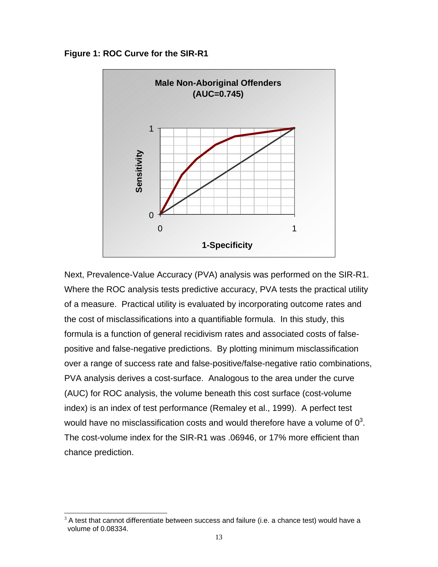#### **Figure 1: ROC Curve for the SIR-R1**



Next, Prevalence-Value Accuracy (PVA) analysis was performed on the SIR-R1. Where the ROC analysis tests predictive accuracy, PVA tests the practical utility of a measure. Practical utility is evaluated by incorporating outcome rates and the cost of misclassifications into a quantifiable formula. In this study, this formula is a function of general recidivism rates and associated costs of falsepositive and false-negative predictions. By plotting minimum misclassification over a range of success rate and false-positive/false-negative ratio combinations, PVA analysis derives a cost-surface. Analogous to the area under the curve (AUC) for ROC analysis, the volume beneath this cost surface (cost-volume index) is an index of test performance (Remaley et al., 1999). A perfect test would have no misclassification costs and would therefore have a volume of  $0^3$  $0^3$ . The cost-volume index for the SIR-R1 was .06946, or 17% more efficient than chance prediction.

l

<span id="page-18-0"></span> $3$  A test that cannot differentiate between success and failure (i.e. a chance test) would have a volume of 0.08334.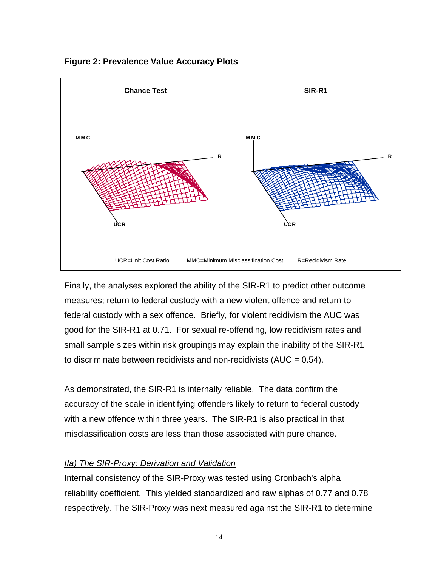

**Figure 2: Prevalence Value Accuracy Plots**

Finally, the analyses explored the ability of the SIR-R1 to predict other outcome measures; return to federal custody with a new violent offence and return to federal custody with a sex offence. Briefly, for violent recidivism the AUC was good for the SIR-R1 at 0.71. For sexual re-offending, low recidivism rates and small sample sizes within risk groupings may explain the inability of the SIR-R1 to discriminate between recidivists and non-recidivists (AUC =  $0.54$ ).

As demonstrated, the SIR-R1 is internally reliable. The data confirm the accuracy of the scale in identifying offenders likely to return to federal custody with a new offence within three years. The SIR-R1 is also practical in that misclassification costs are less than those associated with pure chance.

### *IIa) The SIR-Proxy: Derivation and Validation*

Internal consistency of the SIR-Proxy was tested using Cronbach's alpha reliability coefficient. This yielded standardized and raw alphas of 0.77 and 0.78 respectively. The SIR-Proxy was next measured against the SIR-R1 to determine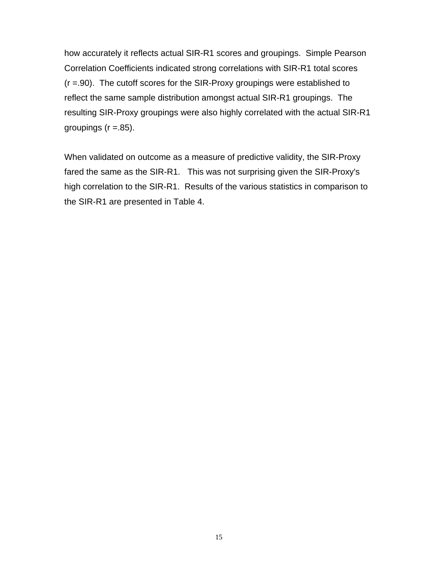how accurately it reflects actual SIR-R1 scores and groupings. Simple Pearson Correlation Coefficients indicated strong correlations with SIR-R1 total scores (r =.90). The cutoff scores for the SIR-Proxy groupings were established to reflect the same sample distribution amongst actual SIR-R1 groupings. The resulting SIR-Proxy groupings were also highly correlated with the actual SIR-R1 groupings  $(r = .85)$ .

When validated on outcome as a measure of predictive validity, the SIR-Proxy fared the same as the SIR-R1. This was not surprising given the SIR-Proxy's high correlation to the SIR-R1. Results of the various statistics in comparison to the SIR-R1 are presented in Table 4.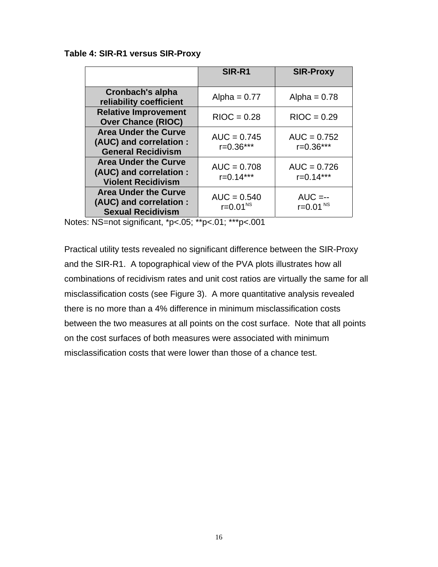#### **Table 4: SIR-R1 versus SIR-Proxy**

|                                                                                     | SIR-R1                           | <b>SIR-Proxy</b>                      |
|-------------------------------------------------------------------------------------|----------------------------------|---------------------------------------|
| <b>Cronbach's alpha</b><br>reliability coefficient                                  | Alpha = $0.77$                   | Alpha = $0.78$                        |
| <b>Relative Improvement</b><br><b>Over Chance (RIOC)</b>                            | $RIOC = 0.28$                    | $RIOC = 0.29$                         |
| <b>Area Under the Curve</b><br>(AUC) and correlation :<br><b>General Recidivism</b> | $AUC = 0.745$<br>$r = 0.36***$   | $AUC = 0.752$<br>$r = 0.36***$        |
| <b>Area Under the Curve</b><br>(AUC) and correlation :<br><b>Violent Recidivism</b> | $AUC = 0.708$<br>$r = 0.14***$   | $AUC = 0.726$<br>$r = 0.14***$        |
| <b>Area Under the Curve</b><br>(AUC) and correlation :<br><b>Sexual Recidivism</b>  | $AUC = 0.540$<br>$r = 0.01^{NS}$ | $AUC = -$<br>$r = 0.01$ <sup>NS</sup> |

Notes: NS=not significant, \*p<.05; \*\*p<.01; \*\*\*p<.001

Practical utility tests revealed no significant difference between the SIR-Proxy and the SIR-R1. A topographical view of the PVA plots illustrates how all combinations of recidivism rates and unit cost ratios are virtually the same for all misclassification costs (see Figure 3). A more quantitative analysis revealed there is no more than a 4% difference in minimum misclassification costs between the two measures at all points on the cost surface. Note that all points on the cost surfaces of both measures were associated with minimum misclassification costs that were lower than those of a chance test.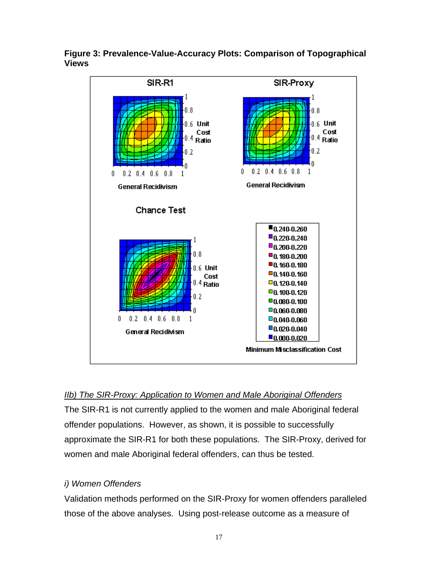

**Figure 3: Prevalence-Value-Accuracy Plots: Comparison of Topographical Views**

### *IIb) The SIR-Proxy: Application to Women and Male Aboriginal Offenders*

The SIR-R1 is not currently applied to the women and male Aboriginal federal offender populations. However, as shown, it is possible to successfully approximate the SIR-R1 for both these populations. The SIR-Proxy, derived for women and male Aboriginal federal offenders, can thus be tested.

### *i) Women Offenders*

Validation methods performed on the SIR-Proxy for women offenders paralleled those of the above analyses. Using post-release outcome as a measure of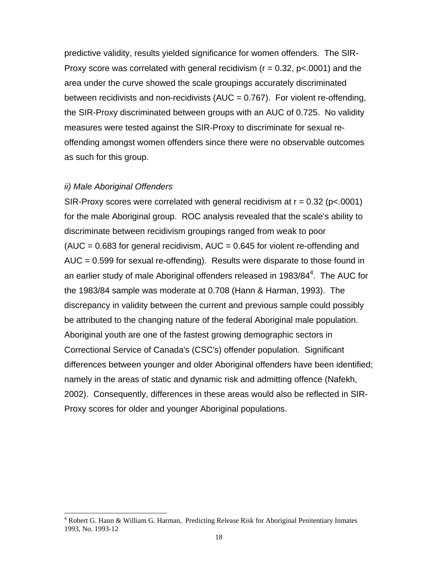predictive validity, results yielded significance for women offenders. The SIR-Proxy score was correlated with general recidivism ( $r = 0.32$ ,  $p < 0.001$ ) and the area under the curve showed the scale groupings accurately discriminated between recidivists and non-recidivists  $(AUC = 0.767)$ . For violent re-offending, the SIR-Proxy discriminated between groups with an AUC of 0.725. No validity measures were tested against the SIR-Proxy to discriminate for sexual reoffending amongst women offenders since there were no observable outcomes as such for this group.

#### *ii) Male Aboriginal Offenders*

l

SIR-Proxy scores were correlated with general recidivism at  $r = 0.32$  (p<.0001) for the male Aboriginal group. ROC analysis revealed that the scale's ability to discriminate between recidivism groupings ranged from weak to poor  $(AUC = 0.683$  for general recidivism,  $AUC = 0.645$  for violent re-offending and  $AUC = 0.599$  for sexual re-offending). Results were disparate to those found in an earlier study of male Aboriginal offenders released in 1983/8[4](#page-23-0)<sup>4</sup>. The AUC for the 1983/84 sample was moderate at 0.708 (Hann & Harman, 1993). The discrepancy in validity between the current and previous sample could possibly be attributed to the changing nature of the federal Aboriginal male population. Aboriginal youth are one of the fastest growing demographic sectors in Correctional Service of Canada's (CSC's) offender population. Significant differences between younger and older Aboriginal offenders have been identified; namely in the areas of static and dynamic risk and admitting offence (Nafekh, 2002). Consequently, differences in these areas would also be reflected in SIR-Proxy scores for older and younger Aboriginal populations.

<span id="page-23-0"></span><sup>4</sup> Robert G. Hann & William G. Harman, Predicting Release Risk for Aboriginal Penitentiary Inmates 1993, No. 1993-12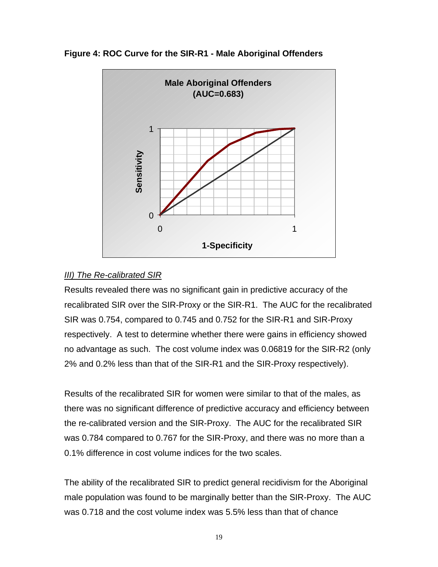

**Figure 4: ROC Curve for the SIR-R1 - Male Aboriginal Offenders**

### *III) The Re-calibrated SIR*

Results revealed there was no significant gain in predictive accuracy of the recalibrated SIR over the SIR-Proxy or the SIR-R1. The AUC for the recalibrated SIR was 0.754, compared to 0.745 and 0.752 for the SIR-R1 and SIR-Proxy respectively. A test to determine whether there were gains in efficiency showed no advantage as such. The cost volume index was 0.06819 for the SIR-R2 (only 2% and 0.2% less than that of the SIR-R1 and the SIR-Proxy respectively).

Results of the recalibrated SIR for women were similar to that of the males, as there was no significant difference of predictive accuracy and efficiency between the re-calibrated version and the SIR-Proxy. The AUC for the recalibrated SIR was 0.784 compared to 0.767 for the SIR-Proxy, and there was no more than a 0.1% difference in cost volume indices for the two scales.

The ability of the recalibrated SIR to predict general recidivism for the Aboriginal male population was found to be marginally better than the SIR-Proxy. The AUC was 0.718 and the cost volume index was 5.5% less than that of chance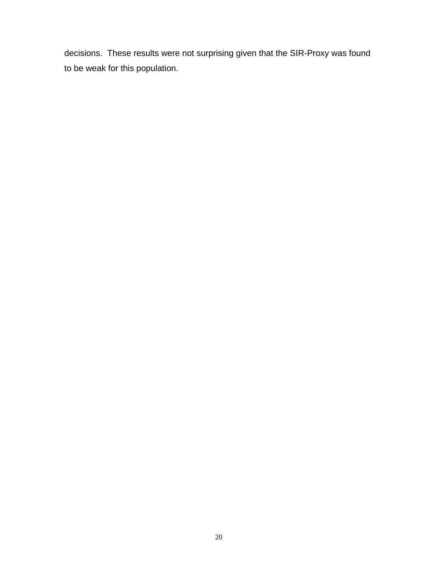decisions. These results were not surprising given that the SIR-Proxy was found to be weak for this population.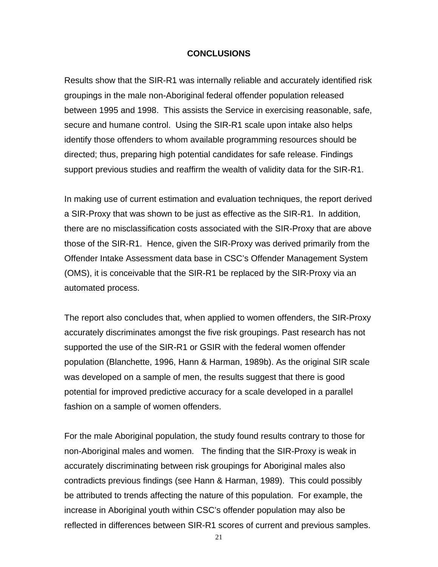#### **CONCLUSIONS**

Results show that the SIR-R1 was internally reliable and accurately identified risk groupings in the male non-Aboriginal federal offender population released between 1995 and 1998. This assists the Service in exercising reasonable, safe, secure and humane control. Using the SIR-R1 scale upon intake also helps identify those offenders to whom available programming resources should be directed; thus, preparing high potential candidates for safe release. Findings support previous studies and reaffirm the wealth of validity data for the SIR-R1.

In making use of current estimation and evaluation techniques, the report derived a SIR-Proxy that was shown to be just as effective as the SIR-R1. In addition, there are no misclassification costs associated with the SIR-Proxy that are above those of the SIR-R1. Hence, given the SIR-Proxy was derived primarily from the Offender Intake Assessment data base in CSC's Offender Management System (OMS), it is conceivable that the SIR-R1 be replaced by the SIR-Proxy via an automated process.

The report also concludes that, when applied to women offenders, the SIR-Proxy accurately discriminates amongst the five risk groupings. Past research has not supported the use of the SIR-R1 or GSIR with the federal women offender population (Blanchette, 1996, Hann & Harman, 1989b). As the original SIR scale was developed on a sample of men, the results suggest that there is good potential for improved predictive accuracy for a scale developed in a parallel fashion on a sample of women offenders.

For the male Aboriginal population, the study found results contrary to those for non-Aboriginal males and women. The finding that the SIR-Proxy is weak in accurately discriminating between risk groupings for Aboriginal males also contradicts previous findings (see Hann & Harman, 1989). This could possibly be attributed to trends affecting the nature of this population. For example, the increase in Aboriginal youth within CSC's offender population may also be reflected in differences between SIR-R1 scores of current and previous samples.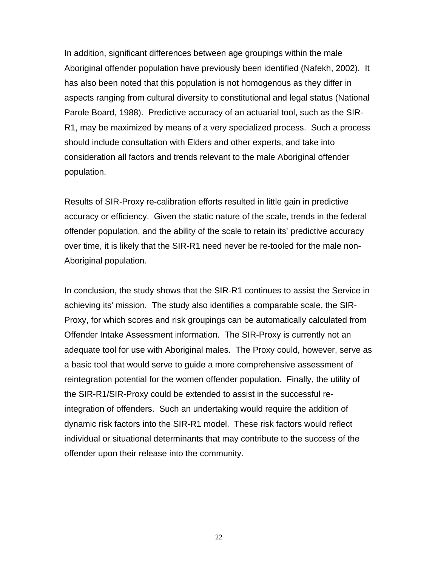In addition, significant differences between age groupings within the male Aboriginal offender population have previously been identified (Nafekh, 2002). It has also been noted that this population is not homogenous as they differ in aspects ranging from cultural diversity to constitutional and legal status (National Parole Board, 1988). Predictive accuracy of an actuarial tool, such as the SIR-R1, may be maximized by means of a very specialized process. Such a process should include consultation with Elders and other experts, and take into consideration all factors and trends relevant to the male Aboriginal offender population.

Results of SIR-Proxy re-calibration efforts resulted in little gain in predictive accuracy or efficiency. Given the static nature of the scale, trends in the federal offender population, and the ability of the scale to retain its' predictive accuracy over time, it is likely that the SIR-R1 need never be re-tooled for the male non-Aboriginal population.

In conclusion, the study shows that the SIR-R1 continues to assist the Service in achieving its' mission. The study also identifies a comparable scale, the SIR-Proxy, for which scores and risk groupings can be automatically calculated from Offender Intake Assessment information. The SIR-Proxy is currently not an adequate tool for use with Aboriginal males. The Proxy could, however, serve as a basic tool that would serve to guide a more comprehensive assessment of reintegration potential for the women offender population. Finally, the utility of the SIR-R1/SIR-Proxy could be extended to assist in the successful reintegration of offenders. Such an undertaking would require the addition of dynamic risk factors into the SIR-R1 model. These risk factors would reflect individual or situational determinants that may contribute to the success of the offender upon their release into the community.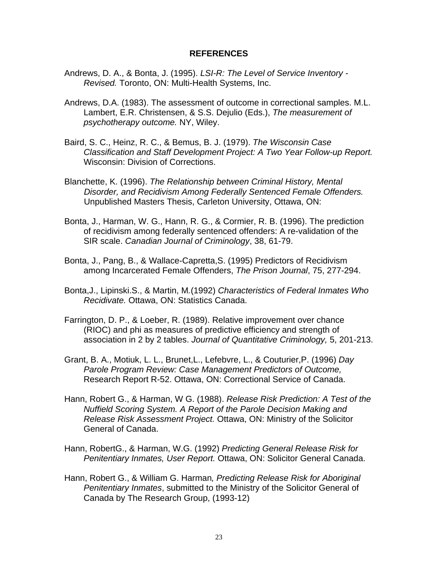#### **REFERENCES**

- Andrews, D. A., & Bonta, J. (1995). *LSI-R: The Level of Service Inventory - Revised.* Toronto, ON: Multi-Health Systems, Inc.
- Andrews, D.A. (1983). The assessment of outcome in correctional samples. M.L. Lambert, E.R. Christensen, & S.S. Dejulio (Eds.), *The measurement of psychotherapy outcome.* NY, Wiley.
- Baird, S. C., Heinz, R. C., & Bemus, B. J. (1979). *The Wisconsin Case Classification and Staff Development Project: A Two Year Follow-up Report.* Wisconsin: Division of Corrections.
- Blanchette, K. (1996). *The Relationship between Criminal History, Mental Disorder, and Recidivism Among Federally Sentenced Female Offenders.* Unpublished Masters Thesis, Carleton University, Ottawa, ON:
- Bonta, J., Harman, W. G., Hann, R. G., & Cormier, R. B. (1996). The prediction of recidivism among federally sentenced offenders: A re-validation of the SIR scale. *Canadian Journal of Criminology*, 38, 61-79.
- Bonta, J., Pang, B., & Wallace-Capretta,S. (1995) Predictors of Recidivism among Incarcerated Female Offenders, *The Prison Journal*, 75, 277-294.
- Bonta,J., Lipinski.S., & Martin, M*.*(1992) *Characteristics of Federal Inmates Who Recidivate.* Ottawa, ON: Statistics Canada.
- Farrington, D. P., & Loeber, R. (1989). Relative improvement over chance (RIOC) and phi as measures of predictive efficiency and strength of association in 2 by 2 tables. *Journal of Quantitative Criminology,* 5, 201-213.
- Grant, B. A., Motiuk, L. L., Brunet,L., Lefebvre, L., & Couturier,P. (1996) *Day Parole Program Review: Case Management Predictors of Outcome,* Research Report R-52. Ottawa, ON: Correctional Service of Canada.
- Hann, Robert G., & Harman, W G. (1988). *Release Risk Prediction: A Test of the Nuffield Scoring System. A Report of the Parole Decision Making and Release Risk Assessment Project.* Ottawa, ON: Ministry of the Solicitor General of Canada.
- Hann, RobertG., & Harman, W.G. (1992) *Predicting General Release Risk for Penitentiary Inmates, User Report.* Ottawa, ON: Solicitor General Canada.
- Hann, Robert G., & William G. Harman*, Predicting Release Risk for Aboriginal Penitentiary Inmates*, submitted to the Ministry of the Solicitor General of Canada by The Research Group, (1993-12)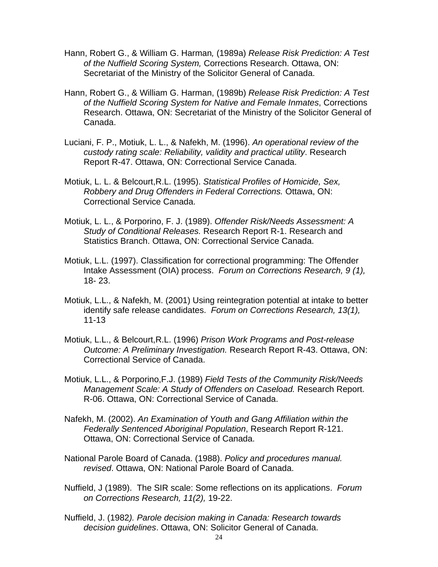- Hann, Robert G., & William G. Harman*,* (1989a) *Release Risk Prediction: A Test of the Nuffield Scoring System,* Corrections Research. Ottawa, ON: Secretariat of the Ministry of the Solicitor General of Canada.
- Hann, Robert G., & William G. Harman, (1989b) *Release Risk Prediction: A Test of the Nuffield Scoring System for Native and Female Inmates*, Corrections Research. Ottawa, ON: Secretariat of the Ministry of the Solicitor General of Canada.
- Luciani, F. P., Motiuk, L. L., & Nafekh, M. (1996). *An operational review of the custody rating scale: Reliability, validity and practical utility*. Research Report R-47. Ottawa, ON: Correctional Service Canada.
- Motiuk, L. L. & Belcourt,R.L. (1995). *Statistical Profiles of Homicide, Sex, Robbery and Drug Offenders in Federal Corrections.* Ottawa, ON: Correctional Service Canada.
- Motiuk, L. L., & Porporino, F. J. (1989). *Offender Risk/Needs Assessment: A Study of Conditional Releases.* Research Report R-1. Research and Statistics Branch. Ottawa, ON: Correctional Service Canada.
- Motiuk, L.L. (1997). Classification for correctional programming: The Offender Intake Assessment (OIA) process. *Forum on Corrections Research, 9 (1),* 18- 23.
- Motiuk, L.L., & Nafekh, M. (2001) Using reintegration potential at intake to better identify safe release candidates. *Forum on Corrections Research, 13(1),* 11-13
- Motiuk, L.L., & Belcourt,R.L. (1996) *Prison Work Programs and Post-release Outcome: A Preliminary Investigation.* Research Report R-43. Ottawa, ON: Correctional Service of Canada.
- Motiuk, L.L., & Porporino,F.J. (1989) *Field Tests of the Community Risk/Needs Management Scale: A Study of Offenders on Caseload.* Research Report. R-06. Ottawa, ON: Correctional Service of Canada.
- Nafekh, M. (2002). *An Examination of Youth and Gang Affiliation within the Federally Sentenced Aboriginal Population*, Research Report R-121. Ottawa, ON: Correctional Service of Canada.
- National Parole Board of Canada. (1988). *Policy and procedures manual. revised*. Ottawa, ON: National Parole Board of Canada.
- Nuffield, J (1989). The SIR scale: Some reflections on its applications. *Forum on Corrections Research, 11(2),* 19-22.
- Nuffield, J. (1982*). Parole decision making in Canada: Research towards decision guidelines*. Ottawa, ON: Solicitor General of Canada.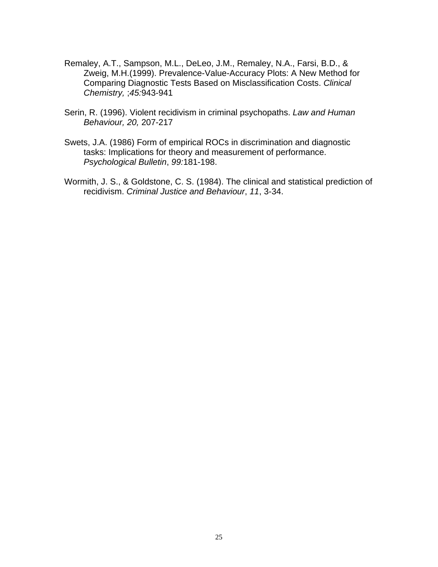- Remaley, A.T., Sampson, M.L., DeLeo, J.M., Remaley, N.A., Farsi, B.D., & Zweig, M.H.(1999). Prevalence-Value-Accuracy Plots: A New Method for Comparing Diagnostic Tests Based on Misclassification Costs. *Clinical Chemistry,* ;*45:*943-941
- Serin, R. (1996). Violent recidivism in criminal psychopaths. *Law and Human Behaviour, 20,* 207-217
- Swets, J.A. (1986) Form of empirical ROCs in discrimination and diagnostic tasks: Implications for theory and measurement of performance. *Psychological Bulletin*, *99:*181-198.
- Wormith, J. S., & Goldstone, C. S. (1984). The clinical and statistical prediction of recidivism. *Criminal Justice and Behaviour*, *11*, 3-34.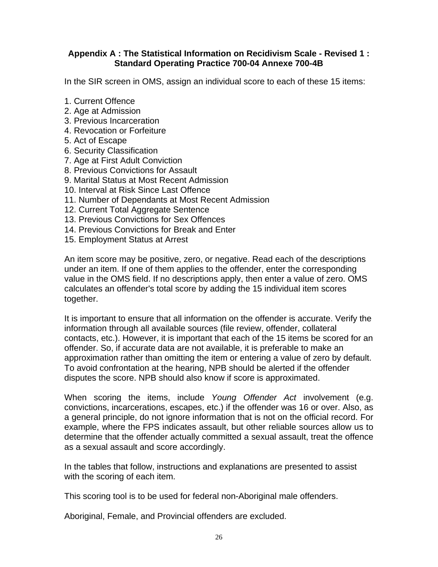### **Appendix A : The Statistical Information on Recidivism Scale - Revised 1 : Standard Operating Practice 700-04 Annexe 700-4B**

In the SIR screen in OMS, assign an individual score to each of these 15 items:

- 1. Current Offence
- 2. Age at Admission
- 3. Previous Incarceration
- 4. Revocation or Forfeiture
- 5. Act of Escape
- 6. Security Classification
- 7. Age at First Adult Conviction
- 8. Previous Convictions for Assault
- 9. Marital Status at Most Recent Admission
- 10. Interval at Risk Since Last Offence
- 11. Number of Dependants at Most Recent Admission
- 12. Current Total Aggregate Sentence
- 13. Previous Convictions for Sex Offences
- 14. Previous Convictions for Break and Enter
- 15. Employment Status at Arrest

An item score may be positive, zero, or negative. Read each of the descriptions under an item. If one of them applies to the offender, enter the corresponding value in the OMS field. If no descriptions apply, then enter a value of zero. OMS calculates an offender's total score by adding the 15 individual item scores together.

It is important to ensure that all information on the offender is accurate. Verify the information through all available sources (file review, offender, collateral contacts, etc.). However, it is important that each of the 15 items be scored for an offender. So, if accurate data are not available, it is preferable to make an approximation rather than omitting the item or entering a value of zero by default. To avoid confrontation at the hearing, NPB should be alerted if the offender disputes the score. NPB should also know if score is approximated.

When scoring the items, include *Young Offender Act* involvement (e.g. convictions, incarcerations, escapes, etc.) if the offender was 16 or over. Also, as a general principle, do not ignore information that is not on the official record. For example, where the FPS indicates assault, but other reliable sources allow us to determine that the offender actually committed a sexual assault, treat the offence as a sexual assault and score accordingly.

In the tables that follow, instructions and explanations are presented to assist with the scoring of each item.

This scoring tool is to be used for federal non-Aboriginal male offenders.

Aboriginal, Female, and Provincial offenders are excluded.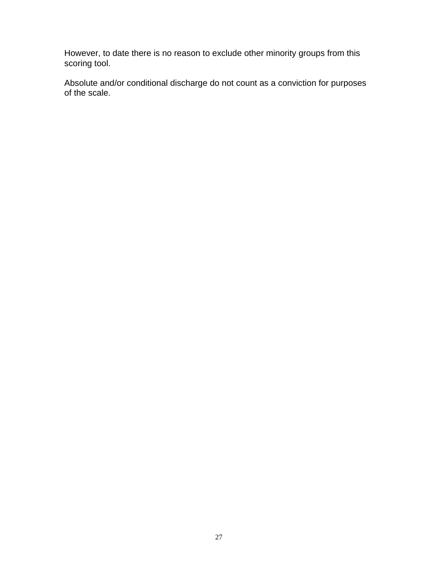However, to date there is no reason to exclude other minority groups from this scoring tool.

Absolute and/or conditional discharge do not count as a conviction for purposes of the scale.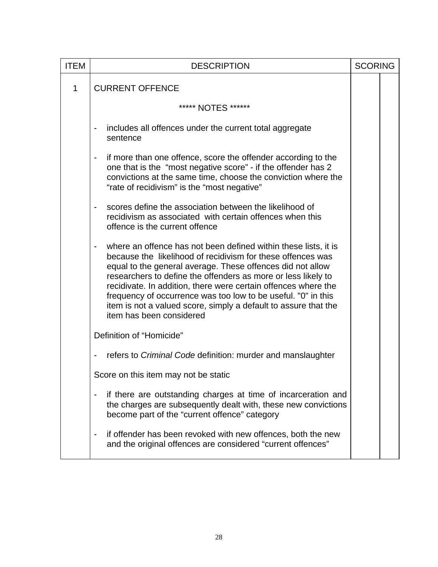| <b>ITEM</b>  | <b>DESCRIPTION</b>                                                                                                                                                                                                                                                                                                                                                                                                                                                                              | <b>SCORING</b> |  |
|--------------|-------------------------------------------------------------------------------------------------------------------------------------------------------------------------------------------------------------------------------------------------------------------------------------------------------------------------------------------------------------------------------------------------------------------------------------------------------------------------------------------------|----------------|--|
| $\mathbf{1}$ | <b>CURRENT OFFENCE</b>                                                                                                                                                                                                                                                                                                                                                                                                                                                                          |                |  |
|              | ***** NOTES ******                                                                                                                                                                                                                                                                                                                                                                                                                                                                              |                |  |
|              | includes all offences under the current total aggregate<br>$\overline{\phantom{a}}$<br>sentence                                                                                                                                                                                                                                                                                                                                                                                                 |                |  |
|              | if more than one offence, score the offender according to the<br>$\blacksquare$<br>one that is the "most negative score" - if the offender has 2<br>convictions at the same time, choose the conviction where the<br>"rate of recidivism" is the "most negative"                                                                                                                                                                                                                                |                |  |
|              | scores define the association between the likelihood of<br>recidivism as associated with certain offences when this<br>offence is the current offence                                                                                                                                                                                                                                                                                                                                           |                |  |
|              | where an offence has not been defined within these lists, it is<br>because the likelihood of recidivism for these offences was<br>equal to the general average. These offences did not allow<br>researchers to define the offenders as more or less likely to<br>recidivate. In addition, there were certain offences where the<br>frequency of occurrence was too low to be useful. "0" in this<br>item is not a valued score, simply a default to assure that the<br>item has been considered |                |  |
|              | Definition of "Homicide"                                                                                                                                                                                                                                                                                                                                                                                                                                                                        |                |  |
|              | refers to Criminal Code definition: murder and manslaughter<br>$\overline{\phantom{a}}$                                                                                                                                                                                                                                                                                                                                                                                                         |                |  |
|              | Score on this item may not be static                                                                                                                                                                                                                                                                                                                                                                                                                                                            |                |  |
|              | if there are outstanding charges at time of incarceration and<br>the charges are subsequently dealt with, these new convictions<br>become part of the "current offence" category                                                                                                                                                                                                                                                                                                                |                |  |
|              | if offender has been revoked with new offences, both the new<br>and the original offences are considered "current offences"                                                                                                                                                                                                                                                                                                                                                                     |                |  |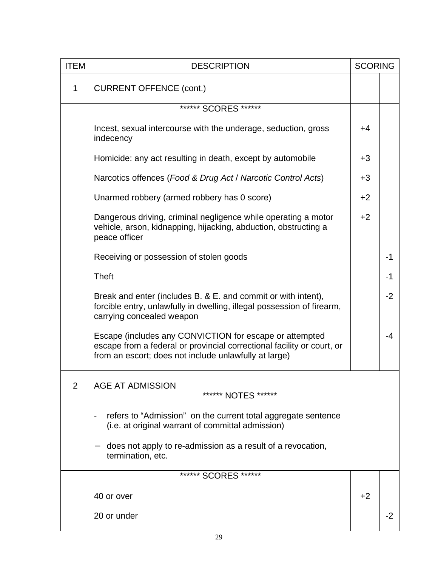| <b>ITEM</b> | <b>DESCRIPTION</b>                                                                                                                                                                         | <b>SCORING</b> |      |
|-------------|--------------------------------------------------------------------------------------------------------------------------------------------------------------------------------------------|----------------|------|
| $\mathbf 1$ | <b>CURRENT OFFENCE (cont.)</b>                                                                                                                                                             |                |      |
|             | ****** SCORES ******                                                                                                                                                                       |                |      |
|             | Incest, sexual intercourse with the underage, seduction, gross<br>indecency                                                                                                                | $+4$           |      |
|             | Homicide: any act resulting in death, except by automobile                                                                                                                                 | $+3$           |      |
|             | Narcotics offences (Food & Drug Act / Narcotic Control Acts)                                                                                                                               | $+3$           |      |
|             | Unarmed robbery (armed robbery has 0 score)                                                                                                                                                | $+2$           |      |
|             | Dangerous driving, criminal negligence while operating a motor<br>vehicle, arson, kidnapping, hijacking, abduction, obstructing a<br>peace officer                                         | $+2$           |      |
|             | Receiving or possession of stolen goods                                                                                                                                                    |                | -1   |
|             | <b>Theft</b>                                                                                                                                                                               |                | -1   |
|             | Break and enter (includes B. & E. and commit or with intent),<br>forcible entry, unlawfully in dwelling, illegal possession of firearm,<br>carrying concealed weapon                       |                | $-2$ |
|             | Escape (includes any CONVICTION for escape or attempted<br>escape from a federal or provincial correctional facility or court, or<br>from an escort; does not include unlawfully at large) |                | -4   |
| 2           | <b>AGE AT ADMISSION</b><br>****** NOTES ******                                                                                                                                             |                |      |
|             | refers to "Admission" on the current total aggregate sentence<br>(i.e. at original warrant of committal admission)                                                                         |                |      |
|             | does not apply to re-admission as a result of a revocation,<br>termination, etc.                                                                                                           |                |      |
|             | ****** SCORES ******                                                                                                                                                                       |                |      |
|             | 40 or over                                                                                                                                                                                 | $+2$           |      |
|             | 20 or under                                                                                                                                                                                |                | -2   |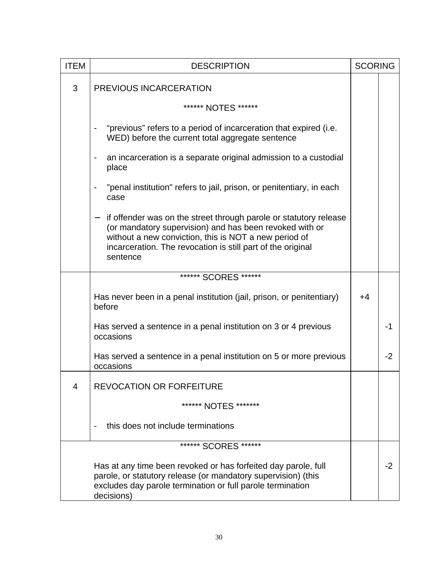| <b>ITEM</b>    | <b>DESCRIPTION</b>                                                                                                                                                                                                                                               |      | <b>SCORING</b> |
|----------------|------------------------------------------------------------------------------------------------------------------------------------------------------------------------------------------------------------------------------------------------------------------|------|----------------|
| 3              | PREVIOUS INCARCERATION                                                                                                                                                                                                                                           |      |                |
|                | ****** NOTES ******                                                                                                                                                                                                                                              |      |                |
|                | "previous" refers to a period of incarceration that expired (i.e.<br>WED) before the current total aggregate sentence                                                                                                                                            |      |                |
|                | an incarceration is a separate original admission to a custodial<br>place                                                                                                                                                                                        |      |                |
|                | "penal institution" refers to jail, prison, or penitentiary, in each<br>case                                                                                                                                                                                     |      |                |
|                | if offender was on the street through parole or statutory release<br>(or mandatory supervision) and has been revoked with or<br>without a new conviction, this is NOT a new period of<br>incarceration. The revocation is still part of the original<br>sentence |      |                |
|                | ****** SCORES ******                                                                                                                                                                                                                                             |      |                |
|                | Has never been in a penal institution (jail, prison, or penitentiary)<br>before                                                                                                                                                                                  | $+4$ |                |
|                | Has served a sentence in a penal institution on 3 or 4 previous<br>occasions                                                                                                                                                                                     |      | $-1$           |
|                | Has served a sentence in a penal institution on 5 or more previous<br>occasions                                                                                                                                                                                  |      | $-2$           |
| $\overline{4}$ | <b>REVOCATION OR FORFEITURE</b>                                                                                                                                                                                                                                  |      |                |
|                | ****** NOTES *******                                                                                                                                                                                                                                             |      |                |
|                | this does not include terminations                                                                                                                                                                                                                               |      |                |
|                | ****** SCORES ******                                                                                                                                                                                                                                             |      |                |
|                | Has at any time been revoked or has forfeited day parole, full<br>parole, or statutory release (or mandatory supervision) (this<br>excludes day parole termination or full parole termination<br>decisions)                                                      |      | $-2$           |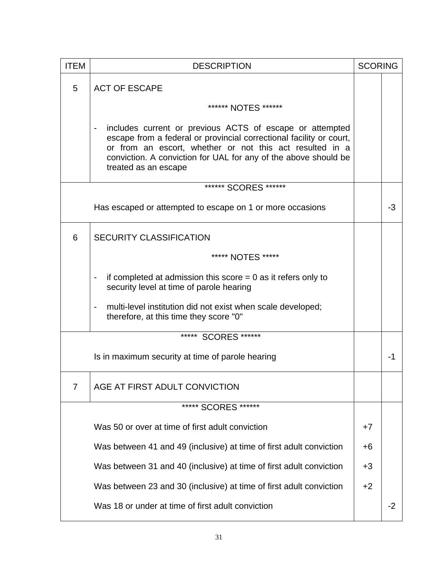| <b>ITEM</b>    | <b>DESCRIPTION</b>                                                                                                                                                                                                                                                                                                     | <b>SCORING</b> |      |
|----------------|------------------------------------------------------------------------------------------------------------------------------------------------------------------------------------------------------------------------------------------------------------------------------------------------------------------------|----------------|------|
| 5              | <b>ACT OF ESCAPE</b>                                                                                                                                                                                                                                                                                                   |                |      |
|                | ****** NOTES ******                                                                                                                                                                                                                                                                                                    |                |      |
|                | includes current or previous ACTS of escape or attempted<br>$\qquad \qquad \blacksquare$<br>escape from a federal or provincial correctional facility or court,<br>or from an escort, whether or not this act resulted in a<br>conviction. A conviction for UAL for any of the above should be<br>treated as an escape |                |      |
|                | ****** SCORES ******                                                                                                                                                                                                                                                                                                   |                |      |
|                | Has escaped or attempted to escape on 1 or more occasions                                                                                                                                                                                                                                                              |                | -3   |
| 6              | <b>SECURITY CLASSIFICATION</b>                                                                                                                                                                                                                                                                                         |                |      |
|                | ***** NOTES *****                                                                                                                                                                                                                                                                                                      |                |      |
|                | if completed at admission this score $= 0$ as it refers only to<br>$\overline{\phantom{a}}$<br>security level at time of parole hearing                                                                                                                                                                                |                |      |
|                | multi-level institution did not exist when scale developed;<br>$\overline{\phantom{a}}$<br>therefore, at this time they score "0"                                                                                                                                                                                      |                |      |
|                | ***** SCORES ******                                                                                                                                                                                                                                                                                                    |                |      |
|                | Is in maximum security at time of parole hearing                                                                                                                                                                                                                                                                       |                | -1   |
| $\overline{7}$ | AGE AT FIRST ADULT CONVICTION                                                                                                                                                                                                                                                                                          |                |      |
|                | ***** SCORES ******                                                                                                                                                                                                                                                                                                    |                |      |
|                | Was 50 or over at time of first adult conviction                                                                                                                                                                                                                                                                       | +7             |      |
|                | Was between 41 and 49 (inclusive) at time of first adult conviction                                                                                                                                                                                                                                                    | +6             |      |
|                | Was between 31 and 40 (inclusive) at time of first adult conviction                                                                                                                                                                                                                                                    | $+3$           |      |
|                | Was between 23 and 30 (inclusive) at time of first adult conviction                                                                                                                                                                                                                                                    | $+2$           |      |
|                | Was 18 or under at time of first adult conviction                                                                                                                                                                                                                                                                      |                | $-2$ |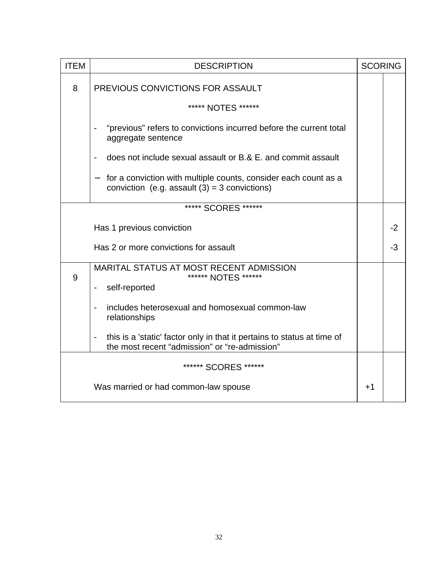| <b>ITEM</b>          | <b>DESCRIPTION</b>                                                                                                                             | <b>SCORING</b> |      |
|----------------------|------------------------------------------------------------------------------------------------------------------------------------------------|----------------|------|
| 8                    | PREVIOUS CONVICTIONS FOR ASSAULT                                                                                                               |                |      |
|                      | ***** NOTES ******                                                                                                                             |                |      |
|                      | "previous" refers to convictions incurred before the current total<br>aggregate sentence                                                       |                |      |
|                      | does not include sexual assault or B.& E. and commit assault                                                                                   |                |      |
|                      | for a conviction with multiple counts, consider each count as a<br>$\overline{\phantom{0}}$<br>conviction (e.g. assault $(3) = 3$ convictions) |                |      |
|                      | ***** SCORES ******                                                                                                                            |                |      |
|                      | Has 1 previous conviction                                                                                                                      |                | $-2$ |
|                      | Has 2 or more convictions for assault                                                                                                          |                | -3   |
| 9                    | <b>MARITAL STATUS AT MOST RECENT ADMISSION</b><br>****** NOTES ******<br>self-reported<br>$\overline{\phantom{a}}$                             |                |      |
|                      | includes heterosexual and homosexual common-law<br>$\qquad \qquad \blacksquare$<br>relationships                                               |                |      |
|                      | this is a 'static' factor only in that it pertains to status at time of<br>-<br>the most recent "admission" or "re-admission"                  |                |      |
| ****** SCORES ****** |                                                                                                                                                |                |      |
|                      | Was married or had common-law spouse                                                                                                           | $+1$           |      |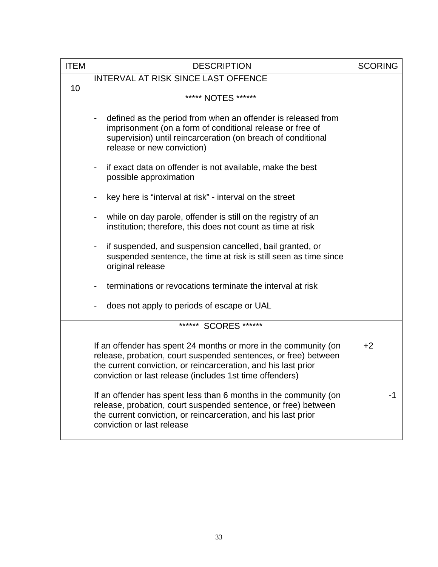| <b>ITEM</b> | <b>DESCRIPTION</b>                                                                                                                                                                                                                                               | <b>SCORING</b> |    |
|-------------|------------------------------------------------------------------------------------------------------------------------------------------------------------------------------------------------------------------------------------------------------------------|----------------|----|
|             | <b>INTERVAL AT RISK SINCE LAST OFFENCE</b>                                                                                                                                                                                                                       |                |    |
| 10          | ***** NOTES ******                                                                                                                                                                                                                                               |                |    |
|             | defined as the period from when an offender is released from<br>imprisonment (on a form of conditional release or free of<br>supervision) until reincarceration (on breach of conditional<br>release or new conviction)                                          |                |    |
|             | if exact data on offender is not available, make the best<br>possible approximation                                                                                                                                                                              |                |    |
|             | key here is "interval at risk" - interval on the street                                                                                                                                                                                                          |                |    |
|             | while on day parole, offender is still on the registry of an<br>institution; therefore, this does not count as time at risk                                                                                                                                      |                |    |
|             | if suspended, and suspension cancelled, bail granted, or<br>$\overline{\phantom{a}}$<br>suspended sentence, the time at risk is still seen as time since<br>original release                                                                                     |                |    |
|             | terminations or revocations terminate the interval at risk                                                                                                                                                                                                       |                |    |
|             | does not apply to periods of escape or UAL                                                                                                                                                                                                                       |                |    |
|             | ****** SCORES ******                                                                                                                                                                                                                                             |                |    |
|             | If an offender has spent 24 months or more in the community (on<br>release, probation, court suspended sentences, or free) between<br>the current conviction, or reincarceration, and his last prior<br>conviction or last release (includes 1st time offenders) | $+2$           |    |
|             | If an offender has spent less than 6 months in the community (on<br>release, probation, court suspended sentence, or free) between<br>the current conviction, or reincarceration, and his last prior<br>conviction or last release                               |                | -1 |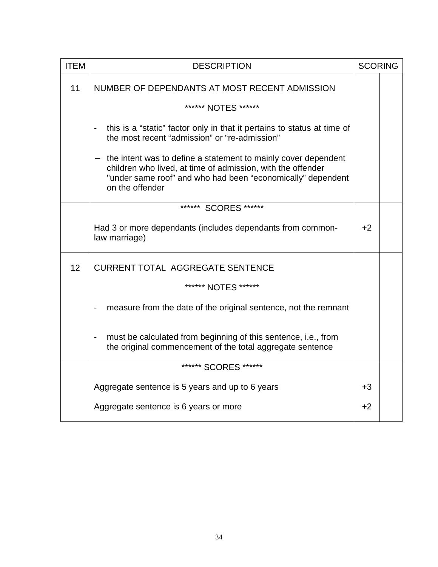| <b>ITEM</b> | <b>DESCRIPTION</b>                                                                                                                                                                                              | <b>SCORING</b> |  |
|-------------|-----------------------------------------------------------------------------------------------------------------------------------------------------------------------------------------------------------------|----------------|--|
| 11          | NUMBER OF DEPENDANTS AT MOST RECENT ADMISSION                                                                                                                                                                   |                |  |
|             | ****** NOTES ******                                                                                                                                                                                             |                |  |
|             | this is a "static" factor only in that it pertains to status at time of<br>the most recent "admission" or "re-admission"                                                                                        |                |  |
|             | the intent was to define a statement to mainly cover dependent<br>children who lived, at time of admission, with the offender<br>"under same roof" and who had been "economically" dependent<br>on the offender |                |  |
|             | ****** SCORES ******                                                                                                                                                                                            |                |  |
|             | Had 3 or more dependants (includes dependants from common-<br>law marriage)                                                                                                                                     | $+2$           |  |
| 12          | <b>CURRENT TOTAL AGGREGATE SENTENCE</b>                                                                                                                                                                         |                |  |
|             | ****** NOTES ******                                                                                                                                                                                             |                |  |
|             | measure from the date of the original sentence, not the remnant                                                                                                                                                 |                |  |
|             | must be calculated from beginning of this sentence, i.e., from<br>the original commencement of the total aggregate sentence                                                                                     |                |  |
|             | ****** SCORES ******                                                                                                                                                                                            |                |  |
|             | Aggregate sentence is 5 years and up to 6 years                                                                                                                                                                 | $+3$           |  |
|             | Aggregate sentence is 6 years or more                                                                                                                                                                           | $+2$           |  |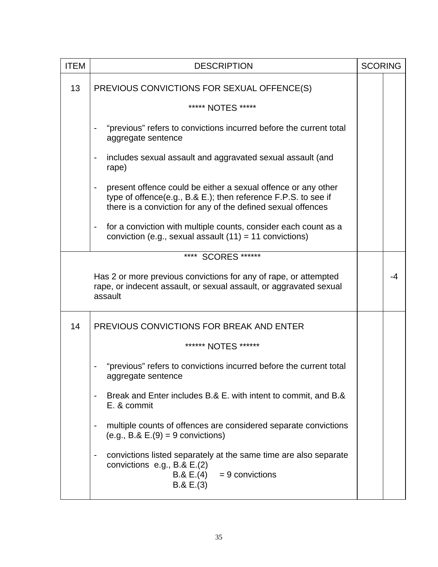| <b>ITEM</b> | <b>DESCRIPTION</b>                                                                                                                                                                                                              | <b>SCORING</b> |    |
|-------------|---------------------------------------------------------------------------------------------------------------------------------------------------------------------------------------------------------------------------------|----------------|----|
| 13          | PREVIOUS CONVICTIONS FOR SEXUAL OFFENCE(S)                                                                                                                                                                                      |                |    |
|             | ***** NOTES *****                                                                                                                                                                                                               |                |    |
|             | "previous" refers to convictions incurred before the current total<br>aggregate sentence                                                                                                                                        |                |    |
|             | includes sexual assault and aggravated sexual assault (and<br>$\overline{\phantom{a}}$<br>rape)                                                                                                                                 |                |    |
|             | present offence could be either a sexual offence or any other<br>$\qquad \qquad \blacksquare$<br>type of offence(e.g., B.& E.); then reference F.P.S. to see if<br>there is a conviction for any of the defined sexual offences |                |    |
|             | for a conviction with multiple counts, consider each count as a<br>$\blacksquare$<br>conviction (e.g., sexual assault $(11) = 11$ convictions)                                                                                  |                |    |
|             | **** SCORES ******                                                                                                                                                                                                              |                |    |
|             | Has 2 or more previous convictions for any of rape, or attempted<br>rape, or indecent assault, or sexual assault, or aggravated sexual<br>assault                                                                               |                | -4 |
| 14          | PREVIOUS CONVICTIONS FOR BREAK AND ENTER                                                                                                                                                                                        |                |    |
|             | ****** NOTES ******                                                                                                                                                                                                             |                |    |
|             | "previous" refers to convictions incurred before the current total<br>aggregate sentence                                                                                                                                        |                |    |
|             | Break and Enter includes B.& E. with intent to commit, and B.&<br>-<br>E. & commit                                                                                                                                              |                |    |
|             | multiple counts of offences are considered separate convictions<br>-<br>$(e.g., B. & E.(9) = 9$ convictions)                                                                                                                    |                |    |
|             | convictions listed separately at the same time are also separate<br>-<br>convictions $e.g., B. & E.(2)$<br>$= 9$ convictions<br>B.8 E.(4)<br>B.8 E.(3)                                                                          |                |    |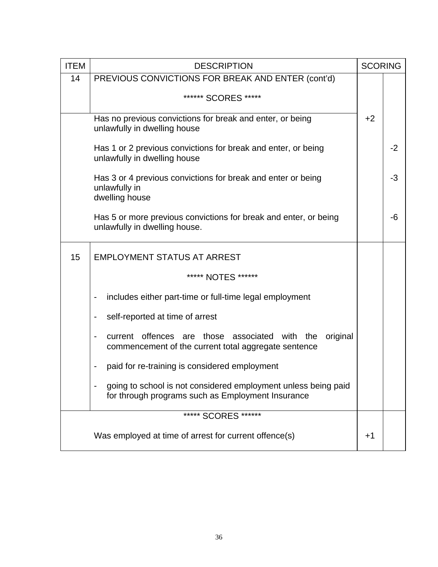| <b>ITEM</b> | <b>DESCRIPTION</b>                                                                                                                   | <b>SCORING</b> |      |
|-------------|--------------------------------------------------------------------------------------------------------------------------------------|----------------|------|
| 14          | PREVIOUS CONVICTIONS FOR BREAK AND ENTER (cont'd)                                                                                    |                |      |
|             | ****** SCORES *****                                                                                                                  |                |      |
|             | Has no previous convictions for break and enter, or being<br>unlawfully in dwelling house                                            | $+2$           |      |
|             | Has 1 or 2 previous convictions for break and enter, or being<br>unlawfully in dwelling house                                        |                | $-2$ |
|             | Has 3 or 4 previous convictions for break and enter or being<br>unlawfully in<br>dwelling house                                      |                | $-3$ |
|             | Has 5 or more previous convictions for break and enter, or being<br>unlawfully in dwelling house.                                    |                | -6   |
| 15          | <b>EMPLOYMENT STATUS AT ARREST</b>                                                                                                   |                |      |
|             | ***** NOTES ******                                                                                                                   |                |      |
|             | includes either part-time or full-time legal employment<br>$\overline{\phantom{a}}$                                                  |                |      |
|             | self-reported at time of arrest<br>$\overline{\phantom{a}}$                                                                          |                |      |
|             | current offences are those associated with the<br>original<br>$\blacksquare$<br>commencement of the current total aggregate sentence |                |      |
|             | paid for re-training is considered employment                                                                                        |                |      |
|             | going to school is not considered employment unless being paid<br>for through programs such as Employment Insurance                  |                |      |
|             | ***** SCORES ******                                                                                                                  |                |      |
|             | Was employed at time of arrest for current offence(s)                                                                                | $+1$           |      |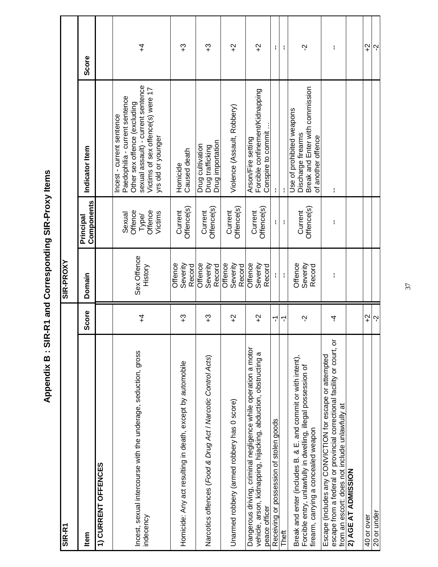Appendix B: SIR-R1 and Corresponding SIR-Proxy Items **Appendix B : SIR-R1 and Corresponding SIR-Proxy Items**

| SIR-R1                                                                                                                                                                              |               | SIR-PROXY                     |                                                  |                                                                                                                                                                                              |                 |  |
|-------------------------------------------------------------------------------------------------------------------------------------------------------------------------------------|---------------|-------------------------------|--------------------------------------------------|----------------------------------------------------------------------------------------------------------------------------------------------------------------------------------------------|-----------------|--|
| <b>Item</b>                                                                                                                                                                         | <b>Score</b>  | Domain                        | Components<br>Principal                          | Indicator<br>Item                                                                                                                                                                            | Score           |  |
| 1) CURRENT OFFENCES                                                                                                                                                                 |               |                               |                                                  |                                                                                                                                                                                              |                 |  |
| Incest, sexual intercourse with the underage, seduction, gross<br>indecency                                                                                                         | $\ddagger$    | Sex Offence<br>History        | Offence<br>Offence<br>Victims<br>Sexual<br>Type/ | sexual assault) - current sentence<br>Victims of sex offence(s) were 17<br>Paedophilia - current sentence<br>Other sex offence (excluding<br>Incest - current sentence<br>yrs old or younger | 4               |  |
| Homicide: Any act resulting in death, except by automobile                                                                                                                          | ႖             | Severity<br>Offence<br>Record | Offence(s)<br>Current                            | Caused death<br>Homicide                                                                                                                                                                     | ဘ္              |  |
| Narcotics offences (Food & Drug Act / Narcotic Control Acts)                                                                                                                        | က္            | Severity<br>Offence<br>Record | Offence(s)<br>Current                            | Drug importation<br>Drug cultivation<br>Drug trafficking                                                                                                                                     | ဘ္              |  |
| Unarmed robbery (armed robbery has 0 score)                                                                                                                                         | $\ddot{ }$    | Severity<br>Offence<br>Record | Offence(s)<br>Current                            | Violence (Assault, Robbery)                                                                                                                                                                  | $\ddot{ }$      |  |
| Dangerous driving, criminal negligence while operation a motor<br>vehicle, arson, kidnapping, hijacking, abduction, obstructing a<br>peace officer                                  | $\gamma$      | Severity<br>Offence<br>Record | Offence(s)<br>Current                            | Forcible confinement/Kidnapping<br>Conspire to commit<br>Arson/Fire setting                                                                                                                  | $\widetilde{ }$ |  |
| Receiving or possession of stolen goods                                                                                                                                             | ᡪ             | Ł                             | Ł                                                |                                                                                                                                                                                              | ł.              |  |
| Theft                                                                                                                                                                               | ۳             | $\mathbf i$                   | ł                                                | $\mathbf{I}$                                                                                                                                                                                 | ł               |  |
| Break and enter (includes B. & E. and commit or with intent),<br>Forcible entry, unlawfully in dwelling, illegal possession of<br>firearm, carrying a concealed weapon              | Ņ             | Offence<br>Severity<br>Record | Offence(s)<br>Current                            | Break and Enter with commission<br>Use of prohibited weapons<br>Discharge firearms<br>of another offence                                                                                     | Ņ               |  |
| escape from a federal or provincial correctional facility or court, or<br>Escape (includes any CONVICTION for escape or attempted<br>from an escort: does not include unlawfully at | 4             | ł                             | ł                                                | ł                                                                                                                                                                                            | ł               |  |
| 2) AGE AT ADMISSION                                                                                                                                                                 |               |                               |                                                  |                                                                                                                                                                                              |                 |  |
| 40 or over                                                                                                                                                                          | $\frac{1}{2}$ |                               |                                                  |                                                                                                                                                                                              | $\frac{1}{2}$   |  |
| 20 or under                                                                                                                                                                         |               |                               |                                                  |                                                                                                                                                                                              |                 |  |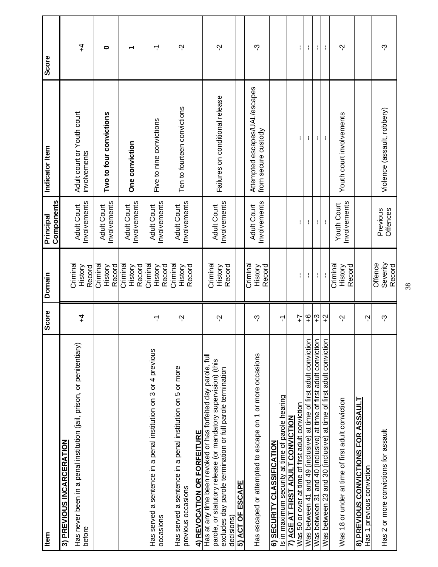| Item                                                                                                                                                                                                        | Score          | Domain                        | Components<br>Principal            | Indicator Item                                       | Score |
|-------------------------------------------------------------------------------------------------------------------------------------------------------------------------------------------------------------|----------------|-------------------------------|------------------------------------|------------------------------------------------------|-------|
| 3) PREVIOUS INCARCERATION                                                                                                                                                                                   |                |                               |                                    |                                                      |       |
| Has never been in a penal institution (jail, prison, or penitentiary)<br>before                                                                                                                             | $\overline{4}$ | Crimina<br>History<br>Record  | Involvements<br><b>Adult Court</b> | Adult court or Youth court<br>involvements           | 7     |
|                                                                                                                                                                                                             |                | Crimina<br>Record<br>History  | Involvements<br><b>Adult Court</b> | Two to four convictions                              | 0     |
|                                                                                                                                                                                                             |                | Crimina<br>Record<br>History  | nvolvements<br><b>Adult Court</b>  | One conviction                                       |       |
| Has served a sentence in a penal institution on 3 or 4 previous<br>occasions                                                                                                                                | 7              | Crimina<br>History<br>Record  | Involvements<br><b>Adult Court</b> | Five to nine convictions                             | 7     |
| Has served a sentence in a penal institution on 5 or more<br>previous occasions                                                                                                                             | Ņ              | Criminal<br>Record<br>History | Involvements<br><b>Adult Court</b> | Ten to fourteen convictions                          | Ņ     |
| 4) REVOCATION OR FORFEITURE                                                                                                                                                                                 |                |                               |                                    |                                                      |       |
| Has at any time been revoked or has forfeited day parole, full<br>parole, or statutory release (or mandatory supervision) (this<br>excludes day parole termination or full parole termination<br>decisions) | Ņ              | Criminal<br>Record<br>History | Involvements<br><b>Adult Court</b> | Failures on conditional release                      | Ņ     |
| 5) ACT OF ESCAPE                                                                                                                                                                                            |                |                               |                                    |                                                      |       |
| Has escaped or attempted to escape on 1 or more occasions                                                                                                                                                   | ကု             | Criminal<br>Record<br>History | Involvements<br><b>Adult Court</b> | Attempted escapes/UAL/escapes<br>from secure custody | ကု    |
| <b>SECURITY CLASSIFICATION</b><br>ව                                                                                                                                                                         |                |                               |                                    |                                                      |       |
| Is in maximum security at time of parole hearing                                                                                                                                                            | 7              |                               |                                    |                                                      |       |
| <b>7) AGE AT FIRST ADULT CONVICTION</b>                                                                                                                                                                     |                |                               |                                    |                                                      |       |
| Was 50 or over at time of first adult conviction                                                                                                                                                            | $\overline{1}$ | ł,                            | ŧ                                  | ł.                                                   | ł.    |
| Was between 41 and 49 (inclusive) at time of first adult conviction                                                                                                                                         | ٩<br>+         | ÷,                            | ł                                  | ł                                                    | ł     |
| Was between 31 and 40 (inclusive) at time of first adult conviction                                                                                                                                         | က္             | ÷                             | ÷                                  | ÷                                                    | ÷     |
| at time of first adult conviction<br>Was between 23 and 30 (inclusive)                                                                                                                                      | $\overline{r}$ | J,                            | ÷                                  | ÷                                                    | ÷     |
| Was 18 or under at time of first adult conviction                                                                                                                                                           | Ņ              | Criminal<br>Record<br>History | Involvements<br>Youth Court        | Youth court involvements                             | Ņ     |
| <b>8) PREVIOUS CONVICTIONS FOR ASSAULT</b>                                                                                                                                                                  |                |                               |                                    |                                                      |       |
| Has 1 previous conviction                                                                                                                                                                                   | Ņ              |                               |                                    |                                                      |       |
| Has 2 or more convictions for assault                                                                                                                                                                       | ကု             | Offence<br>Severity<br>Record | Offences<br>Previous               | Violence (assault, robbery)                          | ကု    |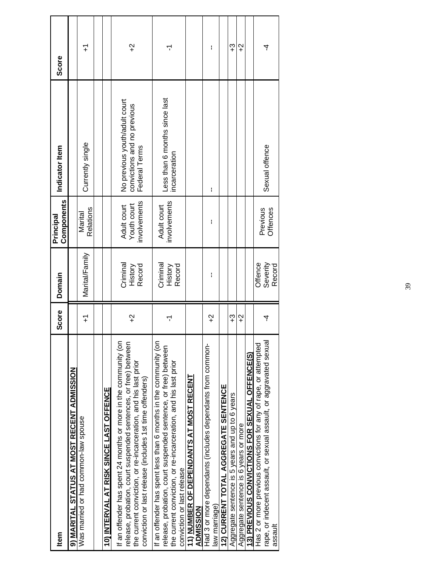| Marital/Family<br>Criminal<br>Criminal<br>Record<br>Record<br>History<br>History<br>$\widetilde{+}$<br>7<br>۲<br>If an offender has spent 24 months or more in the community (on<br>If an offender has spent less than 6 months in the community (on<br>release, probation, court suspended sentences, or free) between<br>release, probation, court suspended sentence, or free) between<br>the current conviction, or re-incarceration, and his last prior<br>the current conviction, or re-incarceration, and his last prior<br>9) MARITAL STATUS AT MOST RECENT ADMISSION<br><b>11) NUMBER OF DEPENDANTS AT MOST RECENT</b><br>conviction or last release (includes 1st time offenders)<br>10) INTERVAL AT RISK SINCE LAST OFFENCE<br>Was married or had common-law spouse<br>conviction or last release |  | Components                                 |                                                                               |          |
|--------------------------------------------------------------------------------------------------------------------------------------------------------------------------------------------------------------------------------------------------------------------------------------------------------------------------------------------------------------------------------------------------------------------------------------------------------------------------------------------------------------------------------------------------------------------------------------------------------------------------------------------------------------------------------------------------------------------------------------------------------------------------------------------------------------|--|--------------------------------------------|-------------------------------------------------------------------------------|----------|
|                                                                                                                                                                                                                                                                                                                                                                                                                                                                                                                                                                                                                                                                                                                                                                                                              |  |                                            |                                                                               |          |
|                                                                                                                                                                                                                                                                                                                                                                                                                                                                                                                                                                                                                                                                                                                                                                                                              |  | Relations<br>Marital                       | Currently single                                                              | 7        |
|                                                                                                                                                                                                                                                                                                                                                                                                                                                                                                                                                                                                                                                                                                                                                                                                              |  |                                            |                                                                               |          |
|                                                                                                                                                                                                                                                                                                                                                                                                                                                                                                                                                                                                                                                                                                                                                                                                              |  |                                            |                                                                               |          |
|                                                                                                                                                                                                                                                                                                                                                                                                                                                                                                                                                                                                                                                                                                                                                                                                              |  | involvements<br>Youth court<br>Adult court | No previous youth/adult court<br>convictions and no previous<br>Federal Terms | $\gamma$ |
|                                                                                                                                                                                                                                                                                                                                                                                                                                                                                                                                                                                                                                                                                                                                                                                                              |  | involvements<br>Adult court                | Less than 6 months since last<br>incarceration                                | ۲        |
| ADMISSION                                                                                                                                                                                                                                                                                                                                                                                                                                                                                                                                                                                                                                                                                                                                                                                                    |  |                                            |                                                                               |          |
| ł<br>I<br>$\gamma$<br>Had 3 or more dependants (includes dependants from common-<br>law marriage                                                                                                                                                                                                                                                                                                                                                                                                                                                                                                                                                                                                                                                                                                             |  |                                            | I                                                                             | I        |
| 12) CURRENT TOTAL AGGREGATE SENTENCE                                                                                                                                                                                                                                                                                                                                                                                                                                                                                                                                                                                                                                                                                                                                                                         |  |                                            |                                                                               |          |
| ၯ<br>Aggregate sentence is 5 years and up to 6 years                                                                                                                                                                                                                                                                                                                                                                                                                                                                                                                                                                                                                                                                                                                                                         |  |                                            |                                                                               | ၯ        |
| $\widetilde{ }$<br>Aggregate sentence is 6 years or more                                                                                                                                                                                                                                                                                                                                                                                                                                                                                                                                                                                                                                                                                                                                                     |  |                                            |                                                                               | $\gamma$ |
| 13) PREVIOUS CONVICTIONS FOR SEXUAL OFFENCE(S)                                                                                                                                                                                                                                                                                                                                                                                                                                                                                                                                                                                                                                                                                                                                                               |  |                                            |                                                                               |          |
| Offence<br>Severity<br>Record<br>4<br>rape, or indecent assault, or sexual assault, or aggravated sexual<br>Has 2 or more previous convictions for any of rape, or attempted<br>assault                                                                                                                                                                                                                                                                                                                                                                                                                                                                                                                                                                                                                      |  | Offences<br>Previous                       | Sexual offence                                                                | 4        |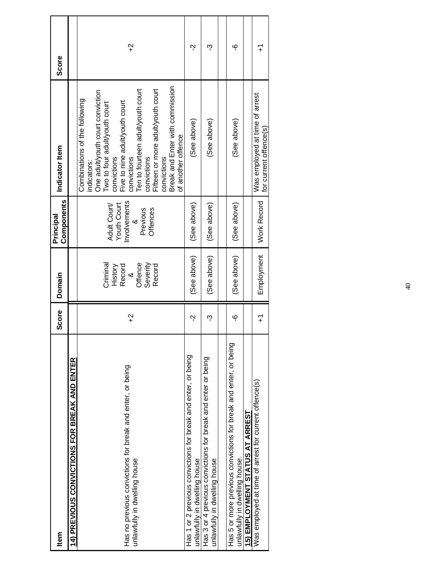| <b>Item</b>                                                                                       | Score          | Domain                                                               | Components<br>Principal                                                  | Indicator Item                                                                                                                                                                                                                                                                                                                                    | <b>Score</b>    |
|---------------------------------------------------------------------------------------------------|----------------|----------------------------------------------------------------------|--------------------------------------------------------------------------|---------------------------------------------------------------------------------------------------------------------------------------------------------------------------------------------------------------------------------------------------------------------------------------------------------------------------------------------------|-----------------|
| 14) PREVIOUS CONVICTIONS FOR BREAK AND ENTER                                                      |                |                                                                      |                                                                          |                                                                                                                                                                                                                                                                                                                                                   |                 |
| Has no previous convictions for break and enter, or being<br>unlawfully in dwelling house         | $\frac{1}{2}$  | Offence<br>Severity<br>Criminal<br>Record<br>Record<br>History<br>×් | Involvements<br>Youth Court<br>Adult Court/<br>Offences<br>Previous<br>∞ | Break and Enter with commission<br>Ten to fourteen adult/youth court<br>Fifteen or more adult/youth court<br>One adultyouth court conviction<br>Combinations of the following<br>Five to nine adult/youth court<br>Two to four adult/youth court<br>of another offence<br>convictions<br>convictions<br>convictions<br>convictions<br>indicators: | $\widetilde{ }$ |
| Has 1 or 2 previous convictions for break and enter, or being<br>unlawfully in dwelling house     | Ņ              | (See above)                                                          | (See above)                                                              | (See above)                                                                                                                                                                                                                                                                                                                                       | Ņ               |
| Has 3 or 4 previous convictions for break and enter or being<br>unlawfully in dwelling house      | ကု             | (See above)                                                          | (See above)                                                              | (See above)                                                                                                                                                                                                                                                                                                                                       | ကု              |
|                                                                                                   |                |                                                                      |                                                                          |                                                                                                                                                                                                                                                                                                                                                   |                 |
| Has 5 or more previous convictions for break and enter, or being<br>unlawfully in dwelling house. | ပှ             | (See above)                                                          | (See above)                                                              | (See above)                                                                                                                                                                                                                                                                                                                                       | ပှ              |
| 15) EMPLOYMENT STATUS AT ARREST                                                                   |                |                                                                      |                                                                          |                                                                                                                                                                                                                                                                                                                                                   |                 |
| Was employed at time of arrest for current offence(s)                                             | $\overline{+}$ | Employment                                                           | <b>Work Record</b>                                                       | Was employed at time of arrest<br>for current offence(s)                                                                                                                                                                                                                                                                                          | 7               |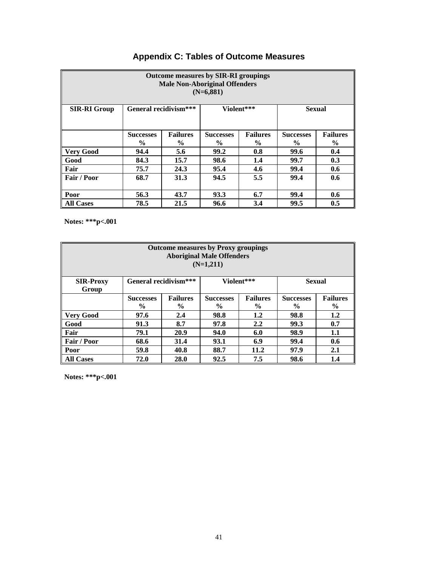|                     |                       |                 | <b>Outcome measures by SIR-RI groupings</b><br><b>Male Non-Aboriginal Offenders</b><br>$(N=6,881)$ |                 |                  |                 |
|---------------------|-----------------------|-----------------|----------------------------------------------------------------------------------------------------|-----------------|------------------|-----------------|
| <b>SIR-RI Group</b> | General recidivism*** |                 | Violent***                                                                                         |                 | <b>Sexual</b>    |                 |
|                     | <b>Successes</b>      | <b>Failures</b> | <b>Successes</b>                                                                                   | <b>Failures</b> | <b>Successes</b> | <b>Failures</b> |
|                     | $\%$                  | $\%$            | $\frac{6}{9}$                                                                                      | $\frac{6}{9}$   | $\%$             | $\%$            |
| <b>Very Good</b>    | 94.4                  | 5.6             | 99.2                                                                                               | 0.8             | 99.6             | 0.4             |
| Good                | 84.3                  | 15.7            | 98.6                                                                                               | 1.4             | 99.7             | 0.3             |
| Fair                | 75.7                  | 24.3            | 95.4                                                                                               | 4.6             | 99.4             | 0.6             |
| Fair / Poor         | 68.7                  | 31.3            | 94.5                                                                                               | 5.5             | 99.4             | 0.6             |
| Poor                | 56.3                  | 43.7            | 93.3                                                                                               | 6.7             | 99.4             | 0.6             |
| <b>All Cases</b>    | 78.5                  | 21.5            | 96.6                                                                                               | 3.4             | 99.5             | 0.5             |

# **Appendix C: Tables of Outcome Measures**

**Notes: \*\*\*p<.001**

|                           |                                                                                          |      | <b>Outcome measures by Proxy groupings</b><br><b>Aboriginal Male Offenders</b><br>$(N=1,211)$ |            |                                   |                                  |
|---------------------------|------------------------------------------------------------------------------------------|------|-----------------------------------------------------------------------------------------------|------------|-----------------------------------|----------------------------------|
| <b>SIR-Proxy</b><br>Group | General recidivism***                                                                    |      |                                                                                               | Violent*** | <b>Sexual</b>                     |                                  |
|                           | <b>Failures</b><br><b>Successes</b><br><b>Successes</b><br>$\%$<br>$\%$<br>$\frac{0}{0}$ |      |                                                                                               |            | <b>Successes</b><br>$\frac{6}{9}$ | <b>Failures</b><br>$\frac{6}{9}$ |
| <b>Very Good</b>          | 97.6                                                                                     | 2.4  | 98.8                                                                                          | 1.2        | 98.8                              | 1.2                              |
| Good                      | 91.3                                                                                     | 8.7  | 97.8                                                                                          | 2.2        | 99.3                              | 0.7                              |
| Fair                      | 79.1                                                                                     | 20.9 | 94.0                                                                                          | 6.0        | 98.9                              | 1.1                              |
| Fair / Poor               | 68.6                                                                                     | 31.4 | 93.1                                                                                          | 6.9        | 99.4                              | 0.6                              |
| Poor                      | 59.8                                                                                     | 40.8 | 88.7                                                                                          | 11.2       | 97.9                              | 2.1                              |
| <b>All Cases</b>          | 72.0                                                                                     | 28.0 | 92.5                                                                                          | 7.5        | 98.6                              | 1.4                              |

**Notes: \*\*\*p<.001**